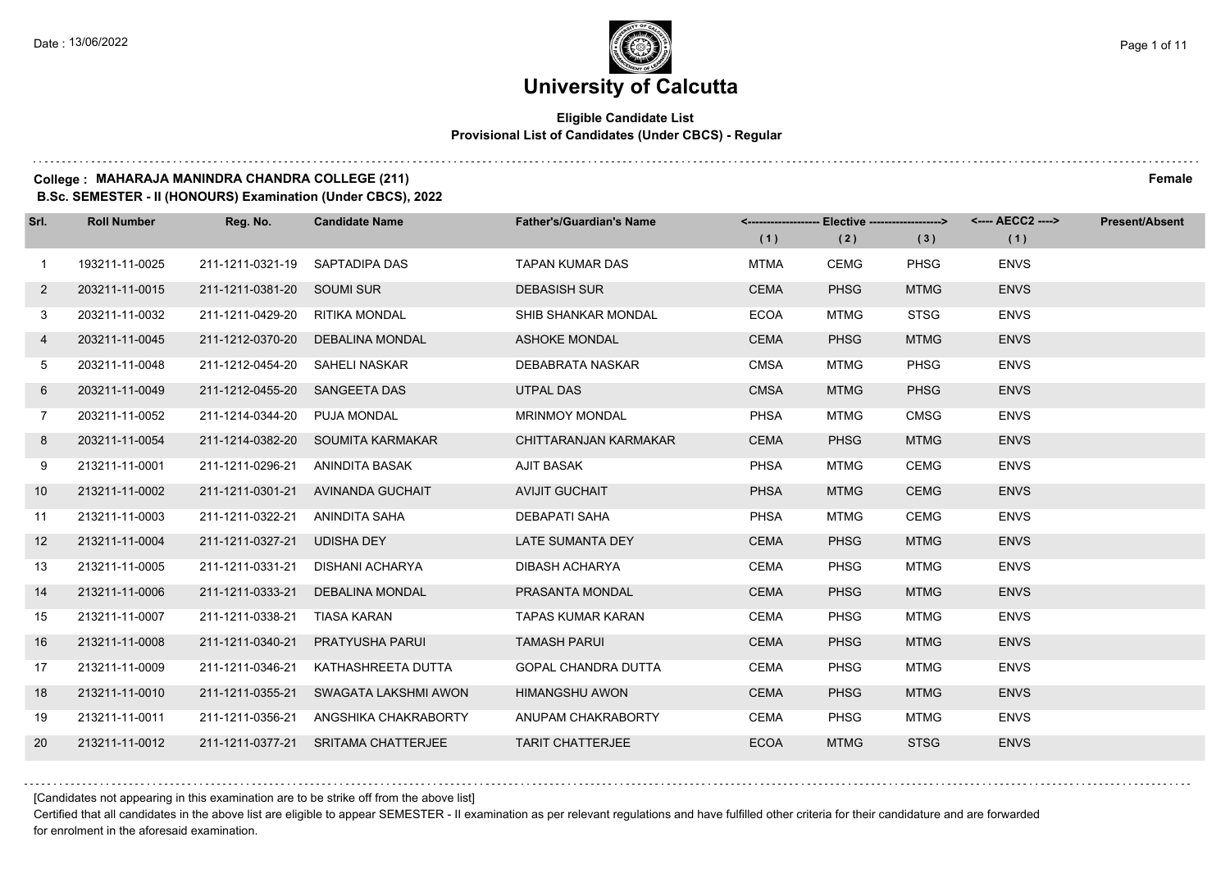#### **Eligible Candidate List Provisional List of Candidates (Under CBCS) - Regular**

#### **College : MAHARAJA MANINDRA CHANDRA COLLEGE (211) Female**

**B.Sc. SEMESTER - II (HONOURS) Examination (Under CBCS), 2022**

| Srl.           | <b>Roll Number</b> | Reg. No.                   | <b>Candidate Name</b>             | <b>Father's/Guardian's Name</b> | (1)         | (2)         | <------------------- Elective ------------------> <---- AECC2 ----><br>(3) | (1)         | <b>Present/Absent</b> |
|----------------|--------------------|----------------------------|-----------------------------------|---------------------------------|-------------|-------------|----------------------------------------------------------------------------|-------------|-----------------------|
| $\mathbf{1}$   | 193211-11-0025     | 211-1211-0321-19           | SAPTADIPA DAS                     | <b>TAPAN KUMAR DAS</b>          | <b>MTMA</b> | <b>CEMG</b> | <b>PHSG</b>                                                                | <b>ENVS</b> |                       |
| $\overline{2}$ | 203211-11-0015     | 211-1211-0381-20 SOUMI SUR |                                   | <b>DEBASISH SUR</b>             | <b>CEMA</b> | <b>PHSG</b> | <b>MTMG</b>                                                                | <b>ENVS</b> |                       |
| 3              | 203211-11-0032     | 211-1211-0429-20           | RITIKA MONDAL                     | SHIB SHANKAR MONDAL             | <b>ECOA</b> | <b>MTMG</b> | <b>STSG</b>                                                                | <b>ENVS</b> |                       |
| 4              | 203211-11-0045     | 211-1212-0370-20           | <b>DEBALINA MONDAL</b>            | <b>ASHOKE MONDAL</b>            | <b>CEMA</b> | <b>PHSG</b> | <b>MTMG</b>                                                                | <b>ENVS</b> |                       |
| 5              | 203211-11-0048     | 211-1212-0454-20           | SAHELI NASKAR                     | DEBABRATA NASKAR                | <b>CMSA</b> | <b>MTMG</b> | <b>PHSG</b>                                                                | <b>ENVS</b> |                       |
| 6              | 203211-11-0049     | 211-1212-0455-20           | <b>SANGEETA DAS</b>               | <b>UTPAL DAS</b>                | <b>CMSA</b> | <b>MTMG</b> | <b>PHSG</b>                                                                | <b>ENVS</b> |                       |
| $7\phantom{.}$ | 203211-11-0052     | 211-1214-0344-20           | PUJA MONDAL                       | <b>MRINMOY MONDAL</b>           | <b>PHSA</b> | <b>MTMG</b> | <b>CMSG</b>                                                                | <b>ENVS</b> |                       |
| 8              | 203211-11-0054     |                            | 211-1214-0382-20 SOUMITA KARMAKAR | CHITTARANJAN KARMAKAR           | <b>CEMA</b> | <b>PHSG</b> | <b>MTMG</b>                                                                | <b>ENVS</b> |                       |
| 9              | 213211-11-0001     | 211-1211-0296-21           | ANINDITA BASAK                    | <b>AJIT BASAK</b>               | <b>PHSA</b> | <b>MTMG</b> | <b>CEMG</b>                                                                | <b>ENVS</b> |                       |
| 10             | 213211-11-0002     | 211-1211-0301-21           | AVINANDA GUCHAIT                  | <b>AVIJIT GUCHAIT</b>           | <b>PHSA</b> | <b>MTMG</b> | <b>CEMG</b>                                                                | <b>ENVS</b> |                       |
| 11             | 213211-11-0003     | 211-1211-0322-21           | ANINDITA SAHA                     | <b>DEBAPATI SAHA</b>            | <b>PHSA</b> | <b>MTMG</b> | <b>CEMG</b>                                                                | <b>ENVS</b> |                       |
| 12             | 213211-11-0004     | 211-1211-0327-21           | <b>UDISHA DEY</b>                 | LATE SUMANTA DEY                | <b>CEMA</b> | <b>PHSG</b> | <b>MTMG</b>                                                                | <b>ENVS</b> |                       |
| 13             | 213211-11-0005     | 211-1211-0331-21           | <b>DISHANI ACHARYA</b>            | DIBASH ACHARYA                  | <b>CEMA</b> | <b>PHSG</b> | <b>MTMG</b>                                                                | <b>ENVS</b> |                       |
| 14             | 213211-11-0006     | 211-1211-0333-21           | <b>DEBALINA MONDAL</b>            | PRASANTA MONDAL                 | <b>CEMA</b> | <b>PHSG</b> | <b>MTMG</b>                                                                | <b>ENVS</b> |                       |
| 15             | 213211-11-0007     | 211-1211-0338-21           | <b>TIASA KARAN</b>                | <b>TAPAS KUMAR KARAN</b>        | <b>CEMA</b> | <b>PHSG</b> | <b>MTMG</b>                                                                | <b>ENVS</b> |                       |
| 16             | 213211-11-0008     | 211-1211-0340-21           | PRATYUSHA PARUI                   | <b>TAMASH PARUI</b>             | <b>CEMA</b> | <b>PHSG</b> | <b>MTMG</b>                                                                | <b>ENVS</b> |                       |
| 17             | 213211-11-0009     | 211-1211-0346-21           | KATHASHREETA DUTTA                | <b>GOPAL CHANDRA DUTTA</b>      | <b>CEMA</b> | <b>PHSG</b> | <b>MTMG</b>                                                                | <b>ENVS</b> |                       |
| 18             | 213211-11-0010     | 211-1211-0355-21           | SWAGATA LAKSHMI AWON              | <b>HIMANGSHU AWON</b>           | <b>CEMA</b> | <b>PHSG</b> | <b>MTMG</b>                                                                | <b>ENVS</b> |                       |
| 19             | 213211-11-0011     | 211-1211-0356-21           | ANGSHIKA CHAKRABORTY              | ANUPAM CHAKRABORTY              | <b>CEMA</b> | <b>PHSG</b> | <b>MTMG</b>                                                                | <b>ENVS</b> |                       |
| 20             | 213211-11-0012     | 211-1211-0377-21           | <b>SRITAMA CHATTERJEE</b>         | <b>TARIT CHATTERJEE</b>         | <b>ECOA</b> | <b>MTMG</b> | <b>STSG</b>                                                                | <b>ENVS</b> |                       |

[Candidates not appearing in this examination are to be strike off from the above list]

Certified that all candidates in the above list are eligible to appear SEMESTER - II examination as per relevant regulations and have fulfilled other criteria for their candidature and are forwarded for enrolment in the aforesaid examination.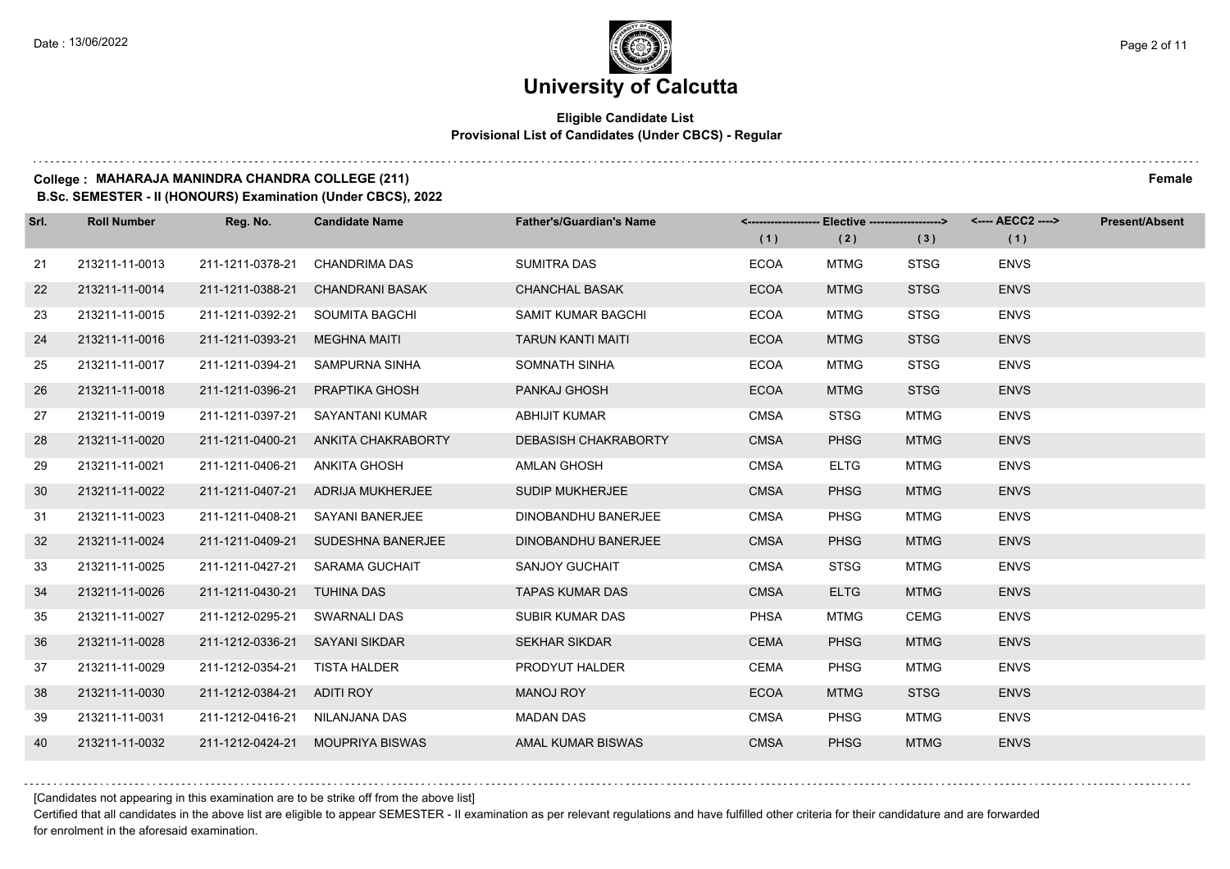#### **Eligible Candidate List Provisional List of Candidates (Under CBCS) - Regular**

### **College : MAHARAJA MANINDRA CHANDRA COLLEGE (211) Female**

**B.Sc. SEMESTER - II (HONOURS) Examination (Under CBCS), 2022**

| Srl. | <b>Roll Number</b> | Reg. No.                       | <b>Candidate Name</b>               | <b>Father's/Guardian's Name</b> |             | <-------------------- Elective ------------------> |             |             | <b>Present/Absent</b> |
|------|--------------------|--------------------------------|-------------------------------------|---------------------------------|-------------|----------------------------------------------------|-------------|-------------|-----------------------|
|      |                    |                                |                                     |                                 | (1)         | (2)                                                | (3)         | (1)         |                       |
| 21   | 213211-11-0013     | 211-1211-0378-21               | <b>CHANDRIMA DAS</b>                | <b>SUMITRA DAS</b>              | <b>ECOA</b> | <b>MTMG</b>                                        | <b>STSG</b> | <b>ENVS</b> |                       |
| 22   | 213211-11-0014     | 211-1211-0388-21               | <b>CHANDRANI BASAK</b>              | <b>CHANCHAL BASAK</b>           | <b>ECOA</b> | <b>MTMG</b>                                        | <b>STSG</b> | <b>ENVS</b> |                       |
| 23   | 213211-11-0015     |                                | 211-1211-0392-21 SOUMITA BAGCHI     | SAMIT KUMAR BAGCHI              | <b>ECOA</b> | <b>MTMG</b>                                        | <b>STSG</b> | <b>ENVS</b> |                       |
| 24   | 213211-11-0016     | 211-1211-0393-21               | <b>MEGHNA MAITI</b>                 | <b>TARUN KANTI MAITI</b>        | <b>ECOA</b> | <b>MTMG</b>                                        | <b>STSG</b> | <b>ENVS</b> |                       |
| 25   | 213211-11-0017     | 211-1211-0394-21               | SAMPURNA SINHA                      | SOMNATH SINHA                   | <b>ECOA</b> | <b>MTMG</b>                                        | <b>STSG</b> | <b>ENVS</b> |                       |
| 26   | 213211-11-0018     | 211-1211-0396-21               | PRAPTIKA GHOSH                      | PANKAJ GHOSH                    | <b>ECOA</b> | <b>MTMG</b>                                        | <b>STSG</b> | <b>ENVS</b> |                       |
| 27   | 213211-11-0019     |                                | 211-1211-0397-21 SAYANTANI KUMAR    | <b>ABHIJIT KUMAR</b>            | <b>CMSA</b> | <b>STSG</b>                                        | <b>MTMG</b> | <b>ENVS</b> |                       |
| 28   | 213211-11-0020     |                                | 211-1211-0400-21 ANKITA CHAKRABORTY | <b>DEBASISH CHAKRABORTY</b>     | <b>CMSA</b> | <b>PHSG</b>                                        | <b>MTMG</b> | <b>ENVS</b> |                       |
| 29   | 213211-11-0021     | 211-1211-0406-21               | ANKITA GHOSH                        | AMLAN GHOSH                     | <b>CMSA</b> | <b>ELTG</b>                                        | MTMG        | <b>ENVS</b> |                       |
| 30   | 213211-11-0022     |                                | 211-1211-0407-21 ADRIJA MUKHERJEE   | <b>SUDIP MUKHERJEE</b>          | <b>CMSA</b> | <b>PHSG</b>                                        | <b>MTMG</b> | <b>ENVS</b> |                       |
| 31   | 213211-11-0023     |                                | 211-1211-0408-21 SAYANI BANERJEE    | <b>DINOBANDHU BANERJEE</b>      | <b>CMSA</b> | <b>PHSG</b>                                        | <b>MTMG</b> | <b>ENVS</b> |                       |
| 32   | 213211-11-0024     |                                | 211-1211-0409-21 SUDESHNA BANERJEE  | <b>DINOBANDHU BANERJEE</b>      | <b>CMSA</b> | <b>PHSG</b>                                        | <b>MTMG</b> | <b>ENVS</b> |                       |
| 33   | 213211-11-0025     | 211-1211-0427-21               | SARAMA GUCHAIT                      | SANJOY GUCHAIT                  | <b>CMSA</b> | <b>STSG</b>                                        | <b>MTMG</b> | <b>ENVS</b> |                       |
| 34   | 213211-11-0026     | 211-1211-0430-21               | <b>TUHINA DAS</b>                   | <b>TAPAS KUMAR DAS</b>          | <b>CMSA</b> | <b>ELTG</b>                                        | <b>MTMG</b> | <b>ENVS</b> |                       |
| 35   | 213211-11-0027     | 211-1212-0295-21               | SWARNALI DAS                        | SUBIR KUMAR DAS                 | <b>PHSA</b> | <b>MTMG</b>                                        | <b>CEMG</b> | <b>ENVS</b> |                       |
| 36   | 213211-11-0028     | 211-1212-0336-21 SAYANI SIKDAR |                                     | <b>SEKHAR SIKDAR</b>            | <b>CEMA</b> | <b>PHSG</b>                                        | <b>MTMG</b> | <b>ENVS</b> |                       |
| 37   | 213211-11-0029     | 211-1212-0354-21               | TISTA HALDER                        | PRODYUT HALDER                  | <b>CEMA</b> | <b>PHSG</b>                                        | <b>MTMG</b> | <b>ENVS</b> |                       |
| 38   | 213211-11-0030     | 211-1212-0384-21 ADITI ROY     |                                     | <b>MANOJ ROY</b>                | <b>ECOA</b> | <b>MTMG</b>                                        | <b>STSG</b> | <b>ENVS</b> |                       |
| 39   | 213211-11-0031     | 211-1212-0416-21 NILANJANA DAS |                                     | <b>MADAN DAS</b>                | <b>CMSA</b> | <b>PHSG</b>                                        | <b>MTMG</b> | <b>ENVS</b> |                       |
| 40   | 213211-11-0032     |                                | 211-1212-0424-21 MOUPRIYA BISWAS    | AMAL KUMAR BISWAS               | <b>CMSA</b> | <b>PHSG</b>                                        | <b>MTMG</b> | <b>ENVS</b> |                       |

[Candidates not appearing in this examination are to be strike off from the above list]

Certified that all candidates in the above list are eligible to appear SEMESTER - II examination as per relevant regulations and have fulfilled other criteria for their candidature and are forwarded for enrolment in the aforesaid examination.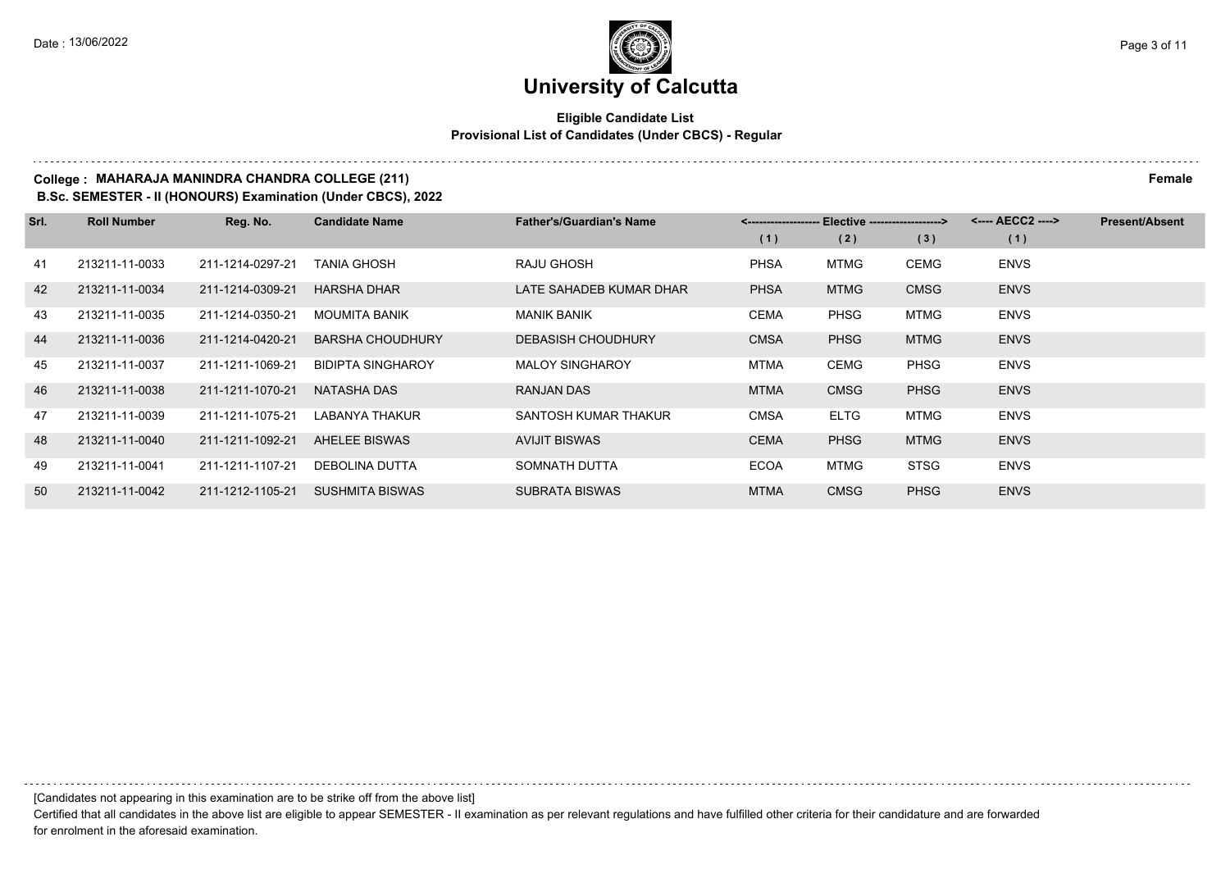#### **Eligible Candidate List Provisional List of Candidates (Under CBCS) - Regular**

#### **College : MAHARAJA MANINDRA CHANDRA COLLEGE (211) Female**

**B.Sc. SEMESTER - II (HONOURS) Examination (Under CBCS), 2022**

| Srl. | <b>Roll Number</b> | Reg. No.         | <b>Candidate Name</b>    | <b>Father's/Guardian's Name</b> | <-------------------- Elective ------------------> |             |             | <---- AECC2 ----> | <b>Present/Absent</b> |
|------|--------------------|------------------|--------------------------|---------------------------------|----------------------------------------------------|-------------|-------------|-------------------|-----------------------|
|      |                    |                  |                          |                                 | (1)                                                | (2)         | (3)         | (1)               |                       |
| 41   | 213211-11-0033     | 211-1214-0297-21 | TANIA GHOSH              | RAJU GHOSH                      | <b>PHSA</b>                                        | <b>MTMG</b> | CEMG        | <b>ENVS</b>       |                       |
| 42   | 213211-11-0034     | 211-1214-0309-21 | <b>HARSHA DHAR</b>       | LATE SAHADEB KUMAR DHAR         | <b>PHSA</b>                                        | <b>MTMG</b> | <b>CMSG</b> | <b>ENVS</b>       |                       |
| 43   | 213211-11-0035     | 211-1214-0350-21 | <b>MOUMITA BANIK</b>     | <b>MANIK BANIK</b>              | <b>CEMA</b>                                        | PHSG        | <b>MTMG</b> | <b>ENVS</b>       |                       |
| 44   | 213211-11-0036     | 211-1214-0420-21 | <b>BARSHA CHOUDHURY</b>  | <b>DEBASISH CHOUDHURY</b>       | <b>CMSA</b>                                        | <b>PHSG</b> | <b>MTMG</b> | <b>ENVS</b>       |                       |
| 45   | 213211-11-0037     | 211-1211-1069-21 | <b>BIDIPTA SINGHAROY</b> | <b>MALOY SINGHAROY</b>          | <b>MTMA</b>                                        | <b>CEMG</b> | <b>PHSG</b> | <b>ENVS</b>       |                       |
| 46   | 213211-11-0038     | 211-1211-1070-21 | NATASHA DAS              | <b>RANJAN DAS</b>               | <b>MTMA</b>                                        | <b>CMSG</b> | <b>PHSG</b> | <b>ENVS</b>       |                       |
| 47   | 213211-11-0039     | 211-1211-1075-21 | LABANYA THAKUR           | SANTOSH KUMAR THAKUR            | <b>CMSA</b>                                        | <b>ELTG</b> | <b>MTMG</b> | <b>ENVS</b>       |                       |
| 48   | 213211-11-0040     | 211-1211-1092-21 | <b>AHELEE BISWAS</b>     | <b>AVIJIT BISWAS</b>            | <b>CEMA</b>                                        | <b>PHSG</b> | <b>MTMG</b> | <b>ENVS</b>       |                       |
| 49   | 213211-11-0041     | 211-1211-1107-21 | DEBOLINA DUTTA           | SOMNATH DUTTA                   | <b>ECOA</b>                                        | MTMG        | <b>STSG</b> | <b>ENVS</b>       |                       |
| 50   | 213211-11-0042     | 211-1212-1105-21 | <b>SUSHMITA BISWAS</b>   | <b>SUBRATA BISWAS</b>           | <b>MTMA</b>                                        | <b>CMSG</b> | <b>PHSG</b> | <b>ENVS</b>       |                       |

[Candidates not appearing in this examination are to be strike off from the above list]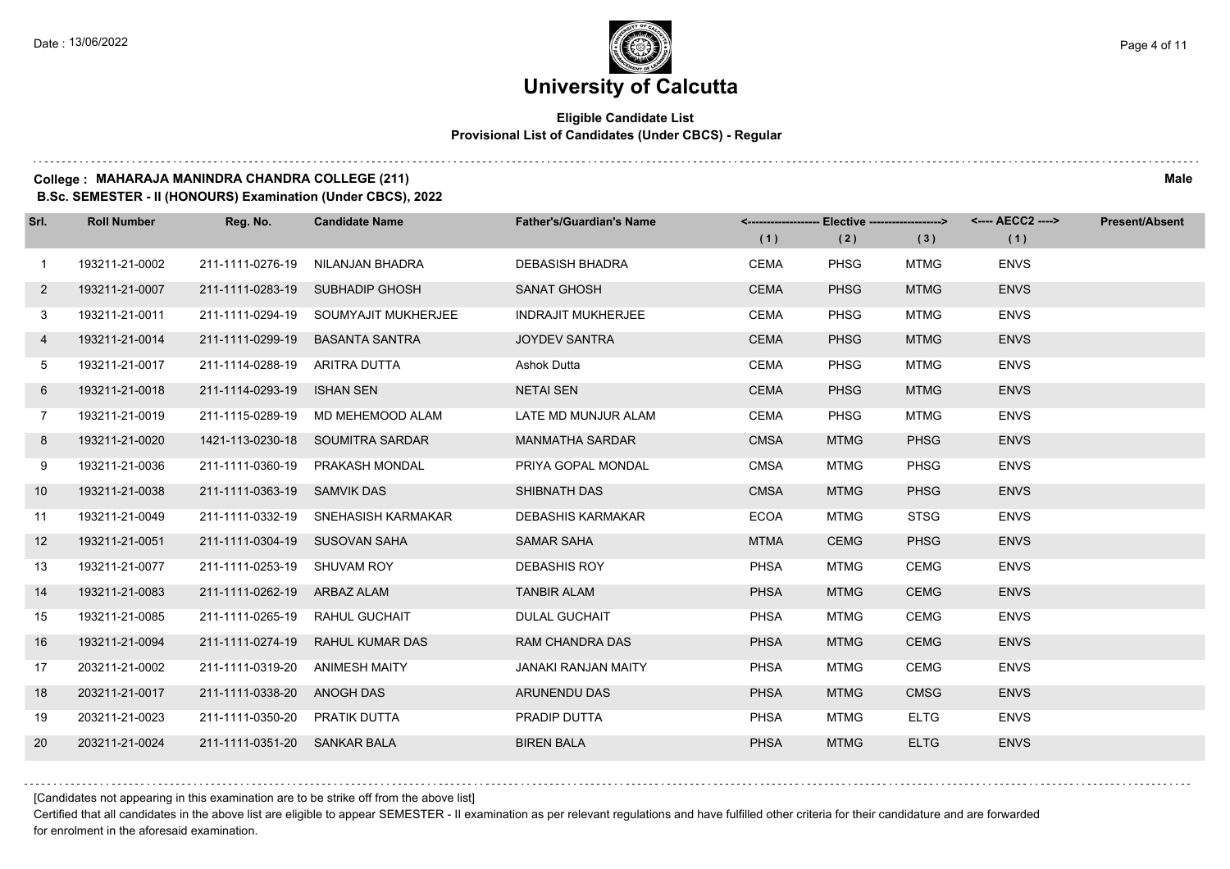#### **Eligible Candidate List Provisional List of Candidates (Under CBCS) - Regular**

### **College : MAHARAJA MANINDRA CHANDRA COLLEGE (211) Male**

**B.Sc. SEMESTER - II (HONOURS) Examination (Under CBCS), 2022**

| Srl.              | <b>Roll Number</b> | Reg. No.                       | <b>Candidate Name</b>                | <b>Father's/Guardian's Name</b> |             |             | <-------------------- Elective -------------------> <---- AECC2 ----> |             | <b>Present/Absent</b> |
|-------------------|--------------------|--------------------------------|--------------------------------------|---------------------------------|-------------|-------------|-----------------------------------------------------------------------|-------------|-----------------------|
|                   |                    |                                |                                      |                                 | (1)         | (2)         | (3)                                                                   | (1)         |                       |
| $\mathbf{1}$      | 193211-21-0002     | 211-1111-0276-19               | NILANJAN BHADRA                      | <b>DEBASISH BHADRA</b>          | <b>CEMA</b> | <b>PHSG</b> | <b>MTMG</b>                                                           | <b>ENVS</b> |                       |
| $\overline{2}$    | 193211-21-0007     |                                | 211-1111-0283-19 SUBHADIP GHOSH      | <b>SANAT GHOSH</b>              | <b>CEMA</b> | <b>PHSG</b> | <b>MTMG</b>                                                           | <b>ENVS</b> |                       |
| 3                 | 193211-21-0011     |                                | 211-1111-0294-19 SOUMYAJIT MUKHERJEE | <b>INDRAJIT MUKHERJEE</b>       | CEMA        | <b>PHSG</b> | <b>MTMG</b>                                                           | <b>ENVS</b> |                       |
| 4                 | 193211-21-0014     |                                | 211-1111-0299-19 BASANTA SANTRA      | <b>JOYDEV SANTRA</b>            | <b>CEMA</b> | <b>PHSG</b> | <b>MTMG</b>                                                           | <b>ENVS</b> |                       |
| 5                 | 193211-21-0017     | 211-1114-0288-19 ARITRA DUTTA  |                                      | Ashok Dutta                     | <b>CEMA</b> | <b>PHSG</b> | <b>MTMG</b>                                                           | <b>ENVS</b> |                       |
| 6                 | 193211-21-0018     | 211-1114-0293-19 ISHAN SEN     |                                      | <b>NETAI SEN</b>                | <b>CEMA</b> | <b>PHSG</b> | <b>MTMG</b>                                                           | <b>ENVS</b> |                       |
| $7\overline{ }$   | 193211-21-0019     |                                | 211-1115-0289-19 MD MEHEMOOD ALAM    | LATE MD MUNJUR ALAM             | <b>CEMA</b> | <b>PHSG</b> | <b>MTMG</b>                                                           | <b>ENVS</b> |                       |
| 8                 | 193211-21-0020     |                                | 1421-113-0230-18 SOUMITRA SARDAR     | <b>MANMATHA SARDAR</b>          | <b>CMSA</b> | <b>MTMG</b> | <b>PHSG</b>                                                           | <b>ENVS</b> |                       |
| 9                 | 193211-21-0036     | 211-1111-0360-19               | PRAKASH MONDAL                       | PRIYA GOPAL MONDAL              | <b>CMSA</b> | <b>MTMG</b> | <b>PHSG</b>                                                           | <b>ENVS</b> |                       |
| 10 <sup>°</sup>   | 193211-21-0038     | 211-1111-0363-19 SAMVIK DAS    |                                      | SHIBNATH DAS                    | <b>CMSA</b> | <b>MTMG</b> | <b>PHSG</b>                                                           | <b>ENVS</b> |                       |
| 11                | 193211-21-0049     |                                | 211-1111-0332-19 SNEHASISH KARMAKAR  | <b>DEBASHIS KARMAKAR</b>        | <b>ECOA</b> | <b>MTMG</b> | <b>STSG</b>                                                           | <b>ENVS</b> |                       |
| $12 \overline{ }$ | 193211-21-0051     | 211-1111-0304-19 SUSOVAN SAHA  |                                      | <b>SAMAR SAHA</b>               | <b>MTMA</b> | <b>CEMG</b> | <b>PHSG</b>                                                           | <b>ENVS</b> |                       |
| 13                | 193211-21-0077     | 211-1111-0253-19 SHUVAM ROY    |                                      | <b>DEBASHIS ROY</b>             | <b>PHSA</b> | <b>MTMG</b> | <b>CEMG</b>                                                           | <b>ENVS</b> |                       |
| 14                | 193211-21-0083     | 211-1111-0262-19 ARBAZ ALAM    |                                      | <b>TANBIR ALAM</b>              | <b>PHSA</b> | <b>MTMG</b> | <b>CEMG</b>                                                           | <b>ENVS</b> |                       |
| 15                | 193211-21-0085     | 211-1111-0265-19 RAHUL GUCHAIT |                                      | <b>DULAL GUCHAIT</b>            | <b>PHSA</b> | <b>MTMG</b> | <b>CEMG</b>                                                           | <b>ENVS</b> |                       |
| 16                | 193211-21-0094     | 211-1111-0274-19               | RAHUL KUMAR DAS                      | <b>RAM CHANDRA DAS</b>          | <b>PHSA</b> | <b>MTMG</b> | <b>CEMG</b>                                                           | <b>ENVS</b> |                       |
| 17                | 203211-21-0002     | 211-1111-0319-20               | ANIMESH MAITY                        | <b>JANAKI RANJAN MAITY</b>      | <b>PHSA</b> | <b>MTMG</b> | <b>CEMG</b>                                                           | <b>ENVS</b> |                       |
| 18                | 203211-21-0017     | 211-1111-0338-20 ANOGH DAS     |                                      | <b>ARUNENDU DAS</b>             | <b>PHSA</b> | <b>MTMG</b> | <b>CMSG</b>                                                           | <b>ENVS</b> |                       |
| 19                | 203211-21-0023     | 211-1111-0350-20 PRATIK DUTTA  |                                      | PRADIP DUTTA                    | <b>PHSA</b> | <b>MTMG</b> | <b>ELTG</b>                                                           | <b>ENVS</b> |                       |
| 20                | 203211-21-0024     | 211-1111-0351-20 SANKAR BALA   |                                      | <b>BIREN BALA</b>               | <b>PHSA</b> | <b>MTMG</b> | <b>ELTG</b>                                                           | <b>ENVS</b> |                       |
|                   |                    |                                |                                      |                                 |             |             |                                                                       |             |                       |

[Candidates not appearing in this examination are to be strike off from the above list]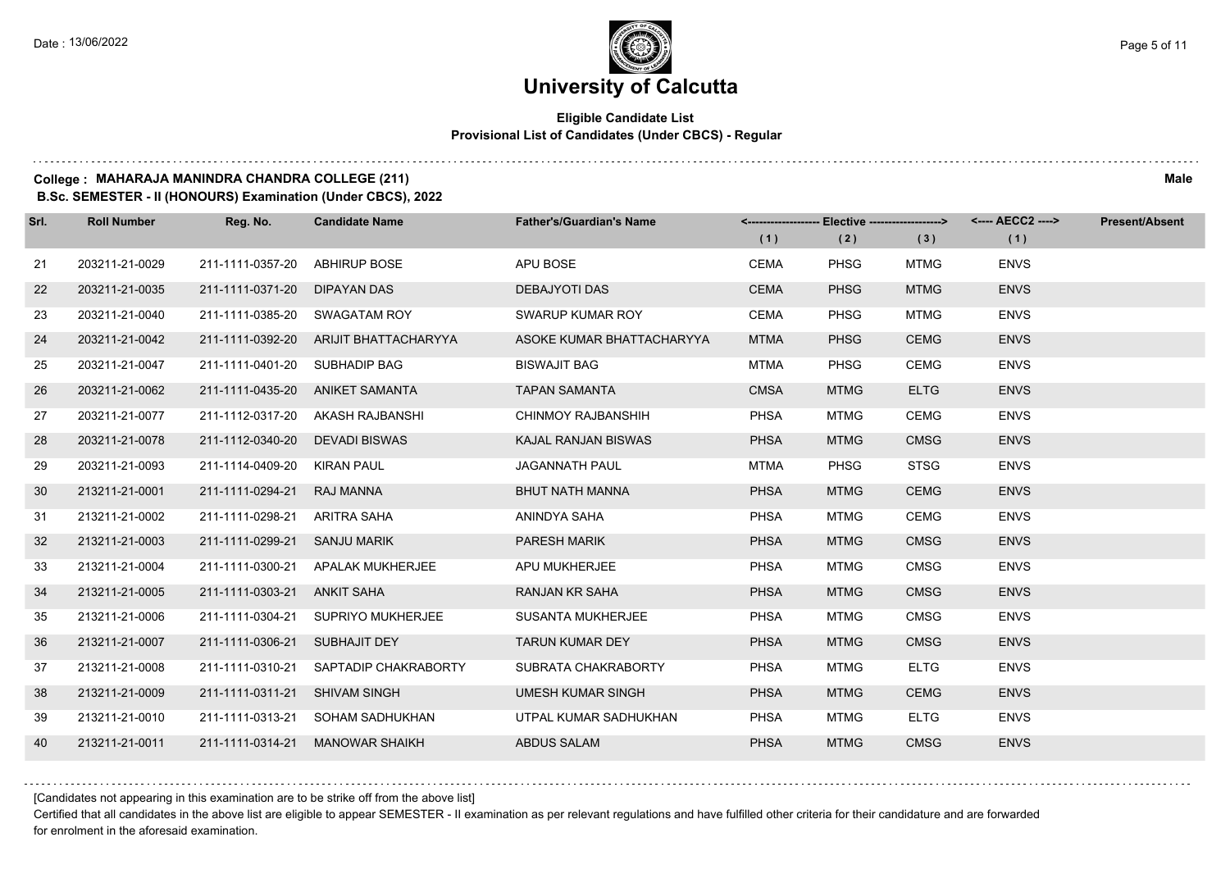#### **Eligible Candidate List Provisional List of Candidates (Under CBCS) - Regular**

### **College : MAHARAJA MANINDRA CHANDRA COLLEGE (211) Male**

**B.Sc. SEMESTER - II (HONOURS) Examination (Under CBCS), 2022**

| Srl. | <b>Roll Number</b> | Reg. No.                      | <b>Candidate Name</b>                 | <b>Father's/Guardian's Name</b> |             | <------------------- Elective ------------------> |             |             | <b>Present/Absent</b> |
|------|--------------------|-------------------------------|---------------------------------------|---------------------------------|-------------|---------------------------------------------------|-------------|-------------|-----------------------|
|      |                    |                               |                                       |                                 | (1)         | (2)                                               | (3)         | (1)         |                       |
| 21   | 203211-21-0029     | 211-1111-0357-20              | <b>ABHIRUP BOSE</b>                   | APU BOSE                        | <b>CEMA</b> | <b>PHSG</b>                                       | MTMG        | <b>ENVS</b> |                       |
| 22   | 203211-21-0035     | 211-1111-0371-20              | <b>DIPAYAN DAS</b>                    | <b>DEBAJYOTI DAS</b>            | <b>CEMA</b> | <b>PHSG</b>                                       | <b>MTMG</b> | <b>ENVS</b> |                       |
| 23   | 203211-21-0040     | 211-1111-0385-20 SWAGATAM ROY |                                       | SWARUP KUMAR ROY                | <b>CEMA</b> | <b>PHSG</b>                                       | MTMG        | <b>ENVS</b> |                       |
| 24   | 203211-21-0042     |                               | 211-1111-0392-20 ARIJIT BHATTACHARYYA | ASOKE KUMAR BHATTACHARYYA       | <b>MTMA</b> | <b>PHSG</b>                                       | <b>CEMG</b> | <b>ENVS</b> |                       |
| 25   | 203211-21-0047     | 211-1111-0401-20              | SUBHADIP BAG                          | <b>BISWAJIT BAG</b>             | <b>MTMA</b> | <b>PHSG</b>                                       | <b>CEMG</b> | <b>ENVS</b> |                       |
| 26   | 203211-21-0062     |                               | 211-1111-0435-20 ANIKET SAMANTA       | <b>TAPAN SAMANTA</b>            | <b>CMSA</b> | <b>MTMG</b>                                       | <b>ELTG</b> | <b>ENVS</b> |                       |
| 27   | 203211-21-0077     |                               | 211-1112-0317-20 AKASH RAJBANSHI      | CHINMOY RAJBANSHIH              | <b>PHSA</b> | <b>MTMG</b>                                       | <b>CEMG</b> | <b>ENVS</b> |                       |
| 28   | 203211-21-0078     | 211-1112-0340-20              | <b>DEVADI BISWAS</b>                  | KAJAL RANJAN BISWAS             | <b>PHSA</b> | <b>MTMG</b>                                       | <b>CMSG</b> | <b>ENVS</b> |                       |
| 29   | 203211-21-0093     | 211-1114-0409-20              | KIRAN PAUL                            | <b>JAGANNATH PAUL</b>           | <b>MTMA</b> | <b>PHSG</b>                                       | <b>STSG</b> | <b>ENVS</b> |                       |
| 30   | 213211-21-0001     | 211-1111-0294-21              | <b>RAJ MANNA</b>                      | <b>BHUT NATH MANNA</b>          | <b>PHSA</b> | <b>MTMG</b>                                       | <b>CEMG</b> | <b>ENVS</b> |                       |
| 31   | 213211-21-0002     | 211-1111-0298-21              | ARITRA SAHA                           | ANINDYA SAHA                    | <b>PHSA</b> | <b>MTMG</b>                                       | <b>CEMG</b> | <b>ENVS</b> |                       |
| 32   | 213211-21-0003     | 211-1111-0299-21              | <b>SANJU MARIK</b>                    | <b>PARESH MARIK</b>             | <b>PHSA</b> | <b>MTMG</b>                                       | <b>CMSG</b> | <b>ENVS</b> |                       |
| 33   | 213211-21-0004     | 211-1111-0300-21              | APALAK MUKHERJEE                      | APU MUKHERJEE                   | <b>PHSA</b> | MTMG                                              | <b>CMSG</b> | <b>ENVS</b> |                       |
| 34   | 213211-21-0005     | 211-1111-0303-21              | ANKIT SAHA                            | <b>RANJAN KR SAHA</b>           | <b>PHSA</b> | <b>MTMG</b>                                       | <b>CMSG</b> | <b>ENVS</b> |                       |
| 35   | 213211-21-0006     | 211-1111-0304-21              | SUPRIYO MUKHERJEE                     | SUSANTA MUKHERJEE               | <b>PHSA</b> | MTMG                                              | <b>CMSG</b> | <b>ENVS</b> |                       |
| 36   | 213211-21-0007     | 211-1111-0306-21              | SUBHAJIT DEY                          | <b>TARUN KUMAR DEY</b>          | <b>PHSA</b> | <b>MTMG</b>                                       | <b>CMSG</b> | <b>ENVS</b> |                       |
| 37   | 213211-21-0008     | 211-1111-0310-21              | SAPTADIP CHAKRABORTY                  | SUBRATA CHAKRABORTY             | <b>PHSA</b> | <b>MTMG</b>                                       | <b>ELTG</b> | <b>ENVS</b> |                       |
| 38   | 213211-21-0009     | 211-1111-0311-21              | <b>SHIVAM SINGH</b>                   | <b>UMESH KUMAR SINGH</b>        | <b>PHSA</b> | <b>MTMG</b>                                       | <b>CEMG</b> | <b>ENVS</b> |                       |
| 39   | 213211-21-0010     | 211-1111-0313-21              | SOHAM SADHUKHAN                       | UTPAL KUMAR SADHUKHAN           | <b>PHSA</b> | <b>MTMG</b>                                       | <b>ELTG</b> | <b>ENVS</b> |                       |
| 40   | 213211-21-0011     | 211-1111-0314-21              | <b>MANOWAR SHAIKH</b>                 | <b>ABDUS SALAM</b>              | <b>PHSA</b> | <b>MTMG</b>                                       | <b>CMSG</b> | <b>ENVS</b> |                       |

[Candidates not appearing in this examination are to be strike off from the above list]

Certified that all candidates in the above list are eligible to appear SEMESTER - II examination as per relevant regulations and have fulfilled other criteria for their candidature and are forwarded for enrolment in the aforesaid examination.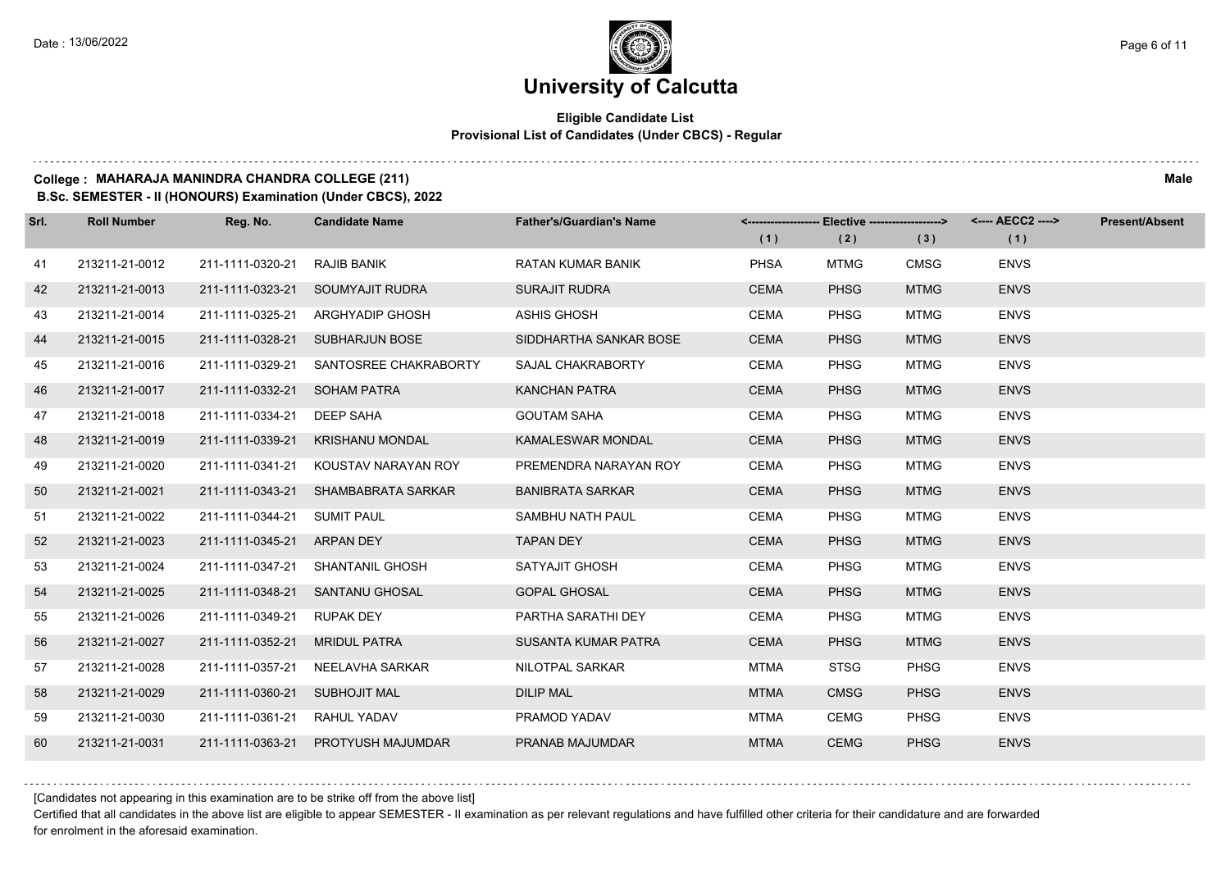#### **Eligible Candidate List Provisional List of Candidates (Under CBCS) - Regular**

### **College : MAHARAJA MANINDRA CHANDRA COLLEGE (211) Male**

**B.Sc. SEMESTER - II (HONOURS) Examination (Under CBCS), 2022**

| Srl. | <b>Roll Number</b> | Reg. No.                      | <b>Candidate Name</b>                | <b>Father's/Guardian's Name</b> |             | <-------------------- Elective -------------------> |             |             | <b>Present/Absent</b> |
|------|--------------------|-------------------------------|--------------------------------------|---------------------------------|-------------|-----------------------------------------------------|-------------|-------------|-----------------------|
|      |                    |                               |                                      |                                 | (1)         | (2)                                                 | (3)         | (1)         |                       |
| 41   | 213211-21-0012     | 211-1111-0320-21              | RAJIB BANIK                          | <b>RATAN KUMAR BANIK</b>        | <b>PHSA</b> | <b>MTMG</b>                                         | <b>CMSG</b> | <b>ENVS</b> |                       |
| 42   | 213211-21-0013     |                               | 211-1111-0323-21 SOUMYAJIT RUDRA     | <b>SURAJIT RUDRA</b>            | <b>CEMA</b> | <b>PHSG</b>                                         | <b>MTMG</b> | <b>ENVS</b> |                       |
| 43   | 213211-21-0014     |                               | 211-1111-0325-21 ARGHYADIP GHOSH     | ASHIS GHOSH                     | CEMA        | <b>PHSG</b>                                         | <b>MTMG</b> | <b>ENVS</b> |                       |
| 44   | 213211-21-0015     |                               | 211-1111-0328-21 SUBHARJUN BOSE      | SIDDHARTHA SANKAR BOSE          | <b>CEMA</b> | <b>PHSG</b>                                         | <b>MTMG</b> | <b>ENVS</b> |                       |
| 45   | 213211-21-0016     | 211-1111-0329-21              | SANTOSREE CHAKRABORTY                | SAJAL CHAKRABORTY               | CEMA        | <b>PHSG</b>                                         | MTMG        | <b>ENVS</b> |                       |
| 46   | 213211-21-0017     | 211-1111-0332-21 SOHAM PATRA  |                                      | <b>KANCHAN PATRA</b>            | <b>CEMA</b> | <b>PHSG</b>                                         | <b>MTMG</b> | <b>ENVS</b> |                       |
| 47   | 213211-21-0018     | 211-1111-0334-21 DEEP SAHA    |                                      | <b>GOUTAM SAHA</b>              | CEMA        | <b>PHSG</b>                                         | <b>MTMG</b> | <b>ENVS</b> |                       |
| 48   | 213211-21-0019     |                               | 211-1111-0339-21 KRISHANU MONDAL     | <b>KAMALESWAR MONDAL</b>        | <b>CEMA</b> | <b>PHSG</b>                                         | <b>MTMG</b> | <b>ENVS</b> |                       |
| 49   | 213211-21-0020     |                               | 211-1111-0341-21 KOUSTAV NARAYAN ROY | PREMENDRA NARAYAN ROY           | CEMA        | <b>PHSG</b>                                         | MTMG        | <b>ENVS</b> |                       |
| 50   | 213211-21-0021     |                               | 211-1111-0343-21 SHAMBABRATA SARKAR  | <b>BANIBRATA SARKAR</b>         | <b>CEMA</b> | <b>PHSG</b>                                         | <b>MTMG</b> | <b>ENVS</b> |                       |
| 51   | 213211-21-0022     | 211-1111-0344-21 SUMIT PAUL   |                                      | SAMBHU NATH PAUL                | <b>CEMA</b> | <b>PHSG</b>                                         | <b>MTMG</b> | <b>ENVS</b> |                       |
| 52   | 213211-21-0023     | 211-1111-0345-21 ARPAN DEY    |                                      | <b>TAPAN DEY</b>                | <b>CEMA</b> | <b>PHSG</b>                                         | <b>MTMG</b> | <b>ENVS</b> |                       |
| 53   | 213211-21-0024     |                               | 211-1111-0347-21 SHANTANIL GHOSH     | SATYAJIT GHOSH                  | CEMA        | <b>PHSG</b>                                         | <b>MTMG</b> | <b>ENVS</b> |                       |
| 54   | 213211-21-0025     |                               | 211-1111-0348-21 SANTANU GHOSAL      | <b>GOPAL GHOSAL</b>             | <b>CEMA</b> | <b>PHSG</b>                                         | <b>MTMG</b> | <b>ENVS</b> |                       |
| 55   | 213211-21-0026     | 211-1111-0349-21 RUPAK DEY    |                                      | PARTHA SARATHI DEY              | CEMA        | <b>PHSG</b>                                         | <b>MTMG</b> | <b>ENVS</b> |                       |
| 56   | 213211-21-0027     | 211-1111-0352-21 MRIDUL PATRA |                                      | <b>SUSANTA KUMAR PATRA</b>      | <b>CEMA</b> | <b>PHSG</b>                                         | <b>MTMG</b> | <b>ENVS</b> |                       |
| 57   | 213211-21-0028     |                               | 211-1111-0357-21 NEELAVHA SARKAR     | NILOTPAL SARKAR                 | <b>MTMA</b> | <b>STSG</b>                                         | <b>PHSG</b> | <b>ENVS</b> |                       |
| 58   | 213211-21-0029     | 211-1111-0360-21 SUBHOJIT MAL |                                      | <b>DILIP MAL</b>                | <b>MTMA</b> | <b>CMSG</b>                                         | <b>PHSG</b> | <b>ENVS</b> |                       |
| 59   | 213211-21-0030     | 211-1111-0361-21 RAHUL YADAV  |                                      | PRAMOD YADAV                    | MTMA        | CEMG                                                | <b>PHSG</b> | <b>ENVS</b> |                       |
| 60   | 213211-21-0031     |                               | 211-1111-0363-21 PROTYUSH MAJUMDAR   | PRANAB MAJUMDAR                 | <b>MTMA</b> | <b>CEMG</b>                                         | <b>PHSG</b> | <b>ENVS</b> |                       |

[Candidates not appearing in this examination are to be strike off from the above list]

Certified that all candidates in the above list are eligible to appear SEMESTER - II examination as per relevant regulations and have fulfilled other criteria for their candidature and are forwarded for enrolment in the aforesaid examination.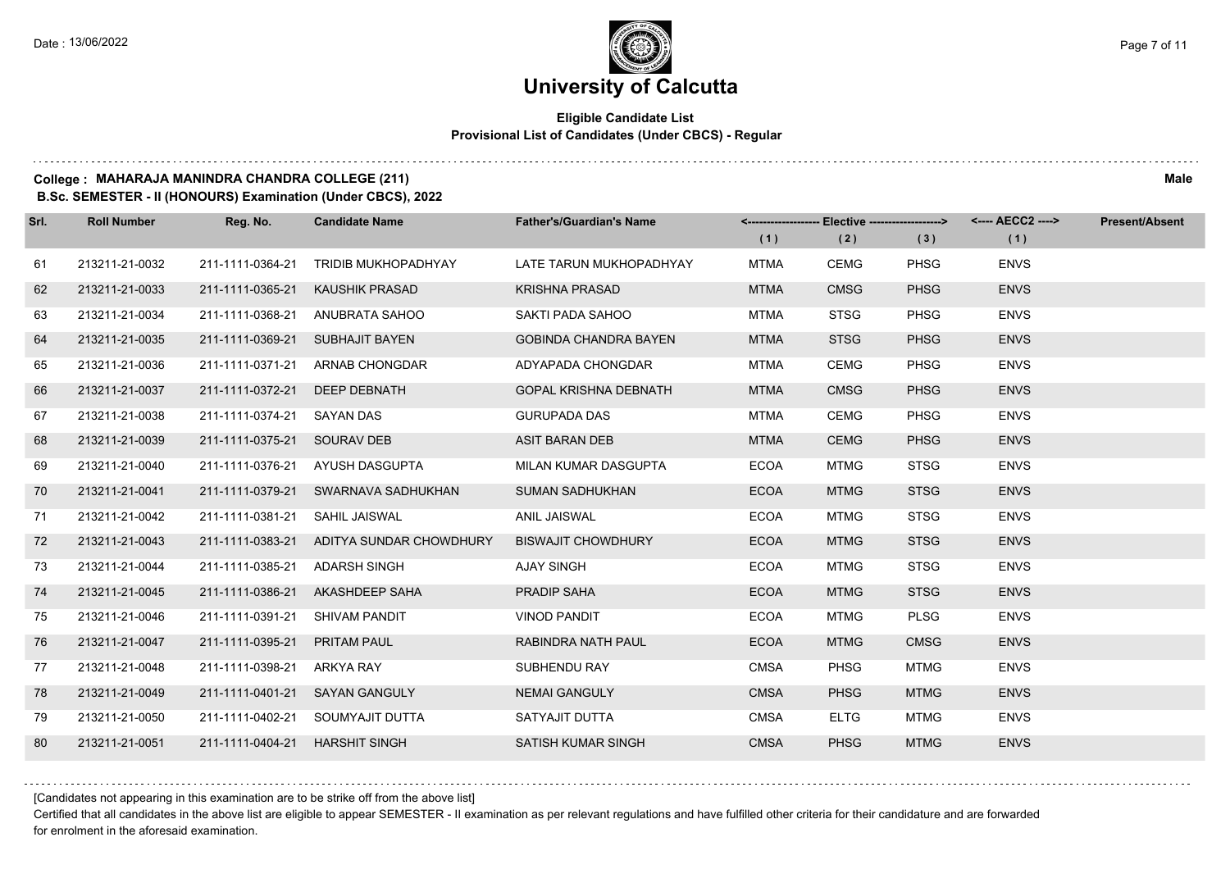$1.111$ 

### **University of Calcutta**

#### **Eligible Candidate List Provisional List of Candidates (Under CBCS) - Regular**

### **College : MAHARAJA MANINDRA CHANDRA COLLEGE (211) Male**

**B.Sc. SEMESTER - II (HONOURS) Examination (Under CBCS), 2022**

| Srl. | <b>Roll Number</b> | Reg. No.                       | <b>Candidate Name</b>                    | <b>Father's/Guardian's Name</b> |             |             | <-------------------- Elective -------------------> <---- AECC2 ----> |             | <b>Present/Absent</b> |
|------|--------------------|--------------------------------|------------------------------------------|---------------------------------|-------------|-------------|-----------------------------------------------------------------------|-------------|-----------------------|
|      |                    |                                |                                          |                                 | (1)         | (2)         | (3)                                                                   | (1)         |                       |
| 61   | 213211-21-0032     | 211-1111-0364-21               | <b>TRIDIB MUKHOPADHYAY</b>               | LATE TARUN MUKHOPADHYAY         | <b>MTMA</b> | <b>CEMG</b> | <b>PHSG</b>                                                           | <b>ENVS</b> |                       |
| 62   | 213211-21-0033     | 211-1111-0365-21               | <b>KAUSHIK PRASAD</b>                    | <b>KRISHNA PRASAD</b>           | <b>MTMA</b> | <b>CMSG</b> | <b>PHSG</b>                                                           | <b>ENVS</b> |                       |
| 63   | 213211-21-0034     | 211-1111-0368-21               | ANUBRATA SAHOO                           | SAKTI PADA SAHOO                | <b>MTMA</b> | <b>STSG</b> | <b>PHSG</b>                                                           | <b>ENVS</b> |                       |
| 64   | 213211-21-0035     | 211-1111-0369-21               | <b>SUBHAJIT BAYEN</b>                    | <b>GOBINDA CHANDRA BAYEN</b>    | <b>MTMA</b> | <b>STSG</b> | <b>PHSG</b>                                                           | <b>ENVS</b> |                       |
| 65   | 213211-21-0036     | 211-1111-0371-21               | ARNAB CHONGDAR                           | ADYAPADA CHONGDAR               | <b>MTMA</b> | <b>CEMG</b> | PHSG                                                                  | <b>ENVS</b> |                       |
| 66   | 213211-21-0037     | 211-1111-0372-21               | DEEP DEBNATH                             | <b>GOPAL KRISHNA DEBNATH</b>    | <b>MTMA</b> | <b>CMSG</b> | <b>PHSG</b>                                                           | <b>ENVS</b> |                       |
| 67   | 213211-21-0038     | 211-1111-0374-21 SAYAN DAS     |                                          | <b>GURUPADA DAS</b>             | <b>MTMA</b> | <b>CEMG</b> | <b>PHSG</b>                                                           | <b>ENVS</b> |                       |
| 68   | 213211-21-0039     | 211-1111-0375-21 SOURAV DEB    |                                          | ASIT BARAN DEB                  | <b>MTMA</b> | <b>CEMG</b> | <b>PHSG</b>                                                           | <b>ENVS</b> |                       |
| 69   | 213211-21-0040     | 211-1111-0376-21               | AYUSH DASGUPTA                           | MILAN KUMAR DASGUPTA            | <b>ECOA</b> | <b>MTMG</b> | <b>STSG</b>                                                           | <b>ENVS</b> |                       |
| 70   | 213211-21-0041     |                                | 211-1111-0379-21 SWARNAVA SADHUKHAN      | <b>SUMAN SADHUKHAN</b>          | <b>ECOA</b> | <b>MTMG</b> | <b>STSG</b>                                                           | <b>ENVS</b> |                       |
| 71   | 213211-21-0042     | 211-1111-0381-21               | SAHIL JAISWAL                            | <b>ANIL JAISWAL</b>             | <b>ECOA</b> | <b>MTMG</b> | <b>STSG</b>                                                           | <b>ENVS</b> |                       |
| 72   | 213211-21-0043     |                                | 211-1111-0383-21 ADITYA SUNDAR CHOWDHURY | <b>BISWAJIT CHOWDHURY</b>       | <b>ECOA</b> | <b>MTMG</b> | <b>STSG</b>                                                           | <b>ENVS</b> |                       |
| 73   | 213211-21-0044     | 211-1111-0385-21               | ADARSH SINGH                             | AJAY SINGH                      | <b>ECOA</b> | <b>MTMG</b> | <b>STSG</b>                                                           | <b>ENVS</b> |                       |
| 74   | 213211-21-0045     |                                | 211-1111-0386-21 AKASHDEEP SAHA          | <b>PRADIP SAHA</b>              | <b>ECOA</b> | <b>MTMG</b> | <b>STSG</b>                                                           | <b>ENVS</b> |                       |
| 75   | 213211-21-0046     | 211-1111-0391-21               | SHIVAM PANDIT                            | <b>VINOD PANDIT</b>             | <b>ECOA</b> | <b>MTMG</b> | <b>PLSG</b>                                                           | <b>ENVS</b> |                       |
| 76   | 213211-21-0047     | 211-1111-0395-21               | <b>PRITAM PAUL</b>                       | RABINDRA NATH PAUL              | <b>ECOA</b> | <b>MTMG</b> | <b>CMSG</b>                                                           | <b>ENVS</b> |                       |
| 77   | 213211-21-0048     | 211-1111-0398-21               | ARKYA RAY                                | SUBHENDU RAY                    | <b>CMSA</b> | <b>PHSG</b> | <b>MTMG</b>                                                           | <b>ENVS</b> |                       |
| 78   | 213211-21-0049     |                                | 211-1111-0401-21 SAYAN GANGULY           | <b>NEMAI GANGULY</b>            | <b>CMSA</b> | <b>PHSG</b> | <b>MTMG</b>                                                           | <b>ENVS</b> |                       |
| 79   | 213211-21-0050     |                                | 211-1111-0402-21 SOUMYAJIT DUTTA         | SATYAJIT DUTTA                  | <b>CMSA</b> | <b>ELTG</b> | <b>MTMG</b>                                                           | <b>ENVS</b> |                       |
| 80   | 213211-21-0051     | 211-1111-0404-21 HARSHIT SINGH |                                          | SATISH KUMAR SINGH              | <b>CMSA</b> | <b>PHSG</b> | <b>MTMG</b>                                                           | <b>ENVS</b> |                       |

[Candidates not appearing in this examination are to be strike off from the above list]

Certified that all candidates in the above list are eligible to appear SEMESTER - II examination as per relevant regulations and have fulfilled other criteria for their candidature and are forwarded for enrolment in the aforesaid examination.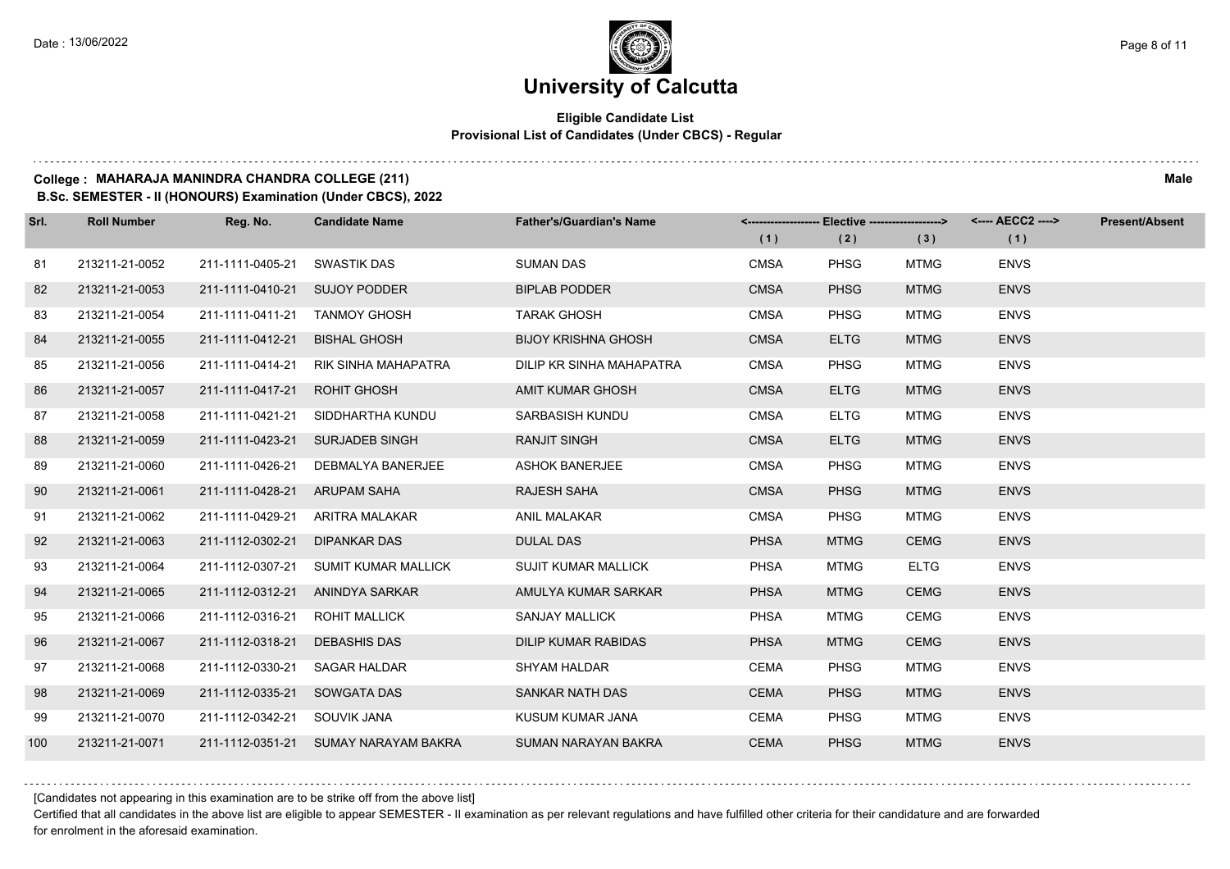#### **Eligible Candidate List Provisional List of Candidates (Under CBCS) - Regular**

#### **College : MAHARAJA MANINDRA CHANDRA COLLEGE (211) Male**

**B.Sc. SEMESTER - II (HONOURS) Examination (Under CBCS), 2022**

| Srl. | <b>Roll Number</b> | Reg. No.                       | <b>Candidate Name</b>                | <b>Father's/Guardian's Name</b> | (1)         | <-------------------- Elective -------------------><br>(2) | (3)         | <---- AECC2 ----><br>(1) | <b>Present/Absent</b> |
|------|--------------------|--------------------------------|--------------------------------------|---------------------------------|-------------|------------------------------------------------------------|-------------|--------------------------|-----------------------|
| 81   | 213211-21-0052     | 211-1111-0405-21 SWASTIK DAS   |                                      | <b>SUMAN DAS</b>                | <b>CMSA</b> | PHSG                                                       | <b>MTMG</b> | <b>ENVS</b>              |                       |
| 82   | 213211-21-0053     | 211-1111-0410-21 SUJOY PODDER  |                                      | <b>BIPLAB PODDER</b>            | <b>CMSA</b> | <b>PHSG</b>                                                | <b>MTMG</b> | <b>ENVS</b>              |                       |
| 83   | 213211-21-0054     | 211-1111-0411-21 TANMOY GHOSH  |                                      | <b>TARAK GHOSH</b>              | <b>CMSA</b> | <b>PHSG</b>                                                | <b>MTMG</b> | <b>ENVS</b>              |                       |
| 84   | 213211-21-0055     | 211-1111-0412-21 BISHAL GHOSH  |                                      | <b>BIJOY KRISHNA GHOSH</b>      | <b>CMSA</b> | <b>ELTG</b>                                                | <b>MTMG</b> | <b>ENVS</b>              |                       |
| 85   | 213211-21-0056     |                                | 211-1111-0414-21 RIK SINHA MAHAPATRA | DILIP KR SINHA MAHAPATRA        | <b>CMSA</b> | PHSG                                                       | <b>MTMG</b> | <b>ENVS</b>              |                       |
| 86   | 213211-21-0057     | 211-1111-0417-21 ROHIT GHOSH   |                                      | <b>AMIT KUMAR GHOSH</b>         | <b>CMSA</b> | <b>ELTG</b>                                                | <b>MTMG</b> | <b>ENVS</b>              |                       |
| 87   | 213211-21-0058     |                                | 211-1111-0421-21 SIDDHARTHA KUNDU    | SARBASISH KUNDU                 | <b>CMSA</b> | <b>ELTG</b>                                                | <b>MTMG</b> | <b>ENVS</b>              |                       |
| 88   | 213211-21-0059     |                                | 211-1111-0423-21 SURJADEB SINGH      | <b>RANJIT SINGH</b>             | <b>CMSA</b> | <b>ELTG</b>                                                | <b>MTMG</b> | <b>ENVS</b>              |                       |
| 89   | 213211-21-0060     | 211-1111-0426-21               | DEBMALYA BANERJEE                    | <b>ASHOK BANERJEE</b>           | <b>CMSA</b> | <b>PHSG</b>                                                | <b>MTMG</b> | <b>ENVS</b>              |                       |
| 90   | 213211-21-0061     | 211-1111-0428-21 ARUPAM SAHA   |                                      | RAJESH SAHA                     | <b>CMSA</b> | <b>PHSG</b>                                                | <b>MTMG</b> | <b>ENVS</b>              |                       |
| 91   | 213211-21-0062     |                                | 211-1111-0429-21 ARITRA MALAKAR      | ANIL MALAKAR                    | CMSA        | <b>PHSG</b>                                                | <b>MTMG</b> | <b>ENVS</b>              |                       |
| 92   | 213211-21-0063     | 211-1112-0302-21 DIPANKAR DAS  |                                      | <b>DULAL DAS</b>                | <b>PHSA</b> | <b>MTMG</b>                                                | <b>CEMG</b> | <b>ENVS</b>              |                       |
| 93   | 213211-21-0064     |                                | 211-1112-0307-21 SUMIT KUMAR MALLICK | <b>SUJIT KUMAR MALLICK</b>      | <b>PHSA</b> | MTMG                                                       | <b>ELTG</b> | <b>ENVS</b>              |                       |
| 94   | 213211-21-0065     |                                | 211-1112-0312-21 ANINDYA SARKAR      | AMULYA KUMAR SARKAR             | <b>PHSA</b> | <b>MTMG</b>                                                | <b>CEMG</b> | <b>ENVS</b>              |                       |
| 95   | 213211-21-0066     | 211-1112-0316-21 ROHIT MALLICK |                                      | SANJAY MALLICK                  | <b>PHSA</b> | <b>MTMG</b>                                                | <b>CEMG</b> | <b>ENVS</b>              |                       |
| 96   | 213211-21-0067     | 211-1112-0318-21 DEBASHIS DAS  |                                      | <b>DILIP KUMAR RABIDAS</b>      | <b>PHSA</b> | <b>MTMG</b>                                                | <b>CEMG</b> | <b>ENVS</b>              |                       |
| 97   | 213211-21-0068     | 211-1112-0330-21 SAGAR HALDAR  |                                      | <b>SHYAM HALDAR</b>             | CEMA        | PHSG                                                       | <b>MTMG</b> | <b>ENVS</b>              |                       |
| 98   | 213211-21-0069     | 211-1112-0335-21 SOWGATA DAS   |                                      | SANKAR NATH DAS                 | <b>CEMA</b> | <b>PHSG</b>                                                | <b>MTMG</b> | <b>ENVS</b>              |                       |
| 99   | 213211-21-0070     | 211-1112-0342-21 SOUVIK JANA   |                                      | KUSUM KUMAR JANA                | CEMA        | <b>PHSG</b>                                                | <b>MTMG</b> | <b>ENVS</b>              |                       |
| 100  | 213211-21-0071     |                                | 211-1112-0351-21 SUMAY NARAYAM BAKRA | <b>SUMAN NARAYAN BAKRA</b>      | <b>CEMA</b> | <b>PHSG</b>                                                | <b>MTMG</b> | <b>ENVS</b>              |                       |

[Candidates not appearing in this examination are to be strike off from the above list]

Certified that all candidates in the above list are eligible to appear SEMESTER - II examination as per relevant regulations and have fulfilled other criteria for their candidature and are forwarded for enrolment in the aforesaid examination.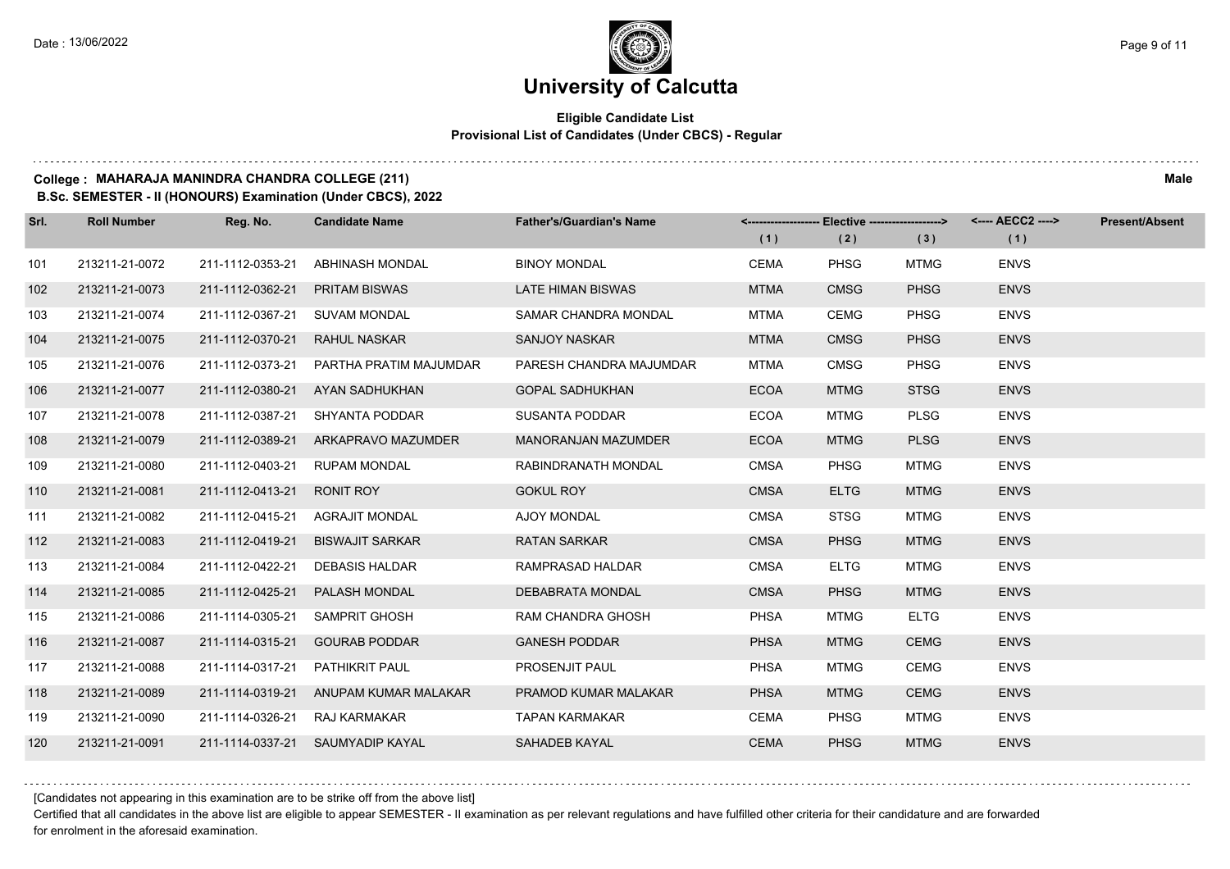#### **Eligible Candidate List Provisional List of Candidates (Under CBCS) - Regular**

**College : MAHARAJA MANINDRA CHANDRA COLLEGE (211) Male**

**B.Sc. SEMESTER - II (HONOURS) Examination (Under CBCS), 2022**

| Srl. | <b>Roll Number</b> | Reg. No.         | <b>Candidate Name</b>                 | <b>Father's/Guardian's Name</b> | (1)         | <-------------------- Elective -------------------><br>(2) | (3)         | (1)         | Present/Absent |
|------|--------------------|------------------|---------------------------------------|---------------------------------|-------------|------------------------------------------------------------|-------------|-------------|----------------|
| 101  | 213211-21-0072     | 211-1112-0353-21 | ABHINASH MONDAL                       | <b>BINOY MONDAL</b>             | <b>CEMA</b> | <b>PHSG</b>                                                | <b>MTMG</b> | <b>ENVS</b> |                |
| 102  | 213211-21-0073     | 211-1112-0362-21 | <b>PRITAM BISWAS</b>                  | <b>LATE HIMAN BISWAS</b>        | <b>MTMA</b> | <b>CMSG</b>                                                | <b>PHSG</b> | <b>ENVS</b> |                |
| 103  | 213211-21-0074     | 211-1112-0367-21 | SUVAM MONDAL                          | SAMAR CHANDRA MONDAL            | <b>MTMA</b> | <b>CEMG</b>                                                | <b>PHSG</b> | <b>ENVS</b> |                |
| 104  | 213211-21-0075     | 211-1112-0370-21 | RAHUL NASKAR                          | <b>SANJOY NASKAR</b>            | <b>MTMA</b> | <b>CMSG</b>                                                | <b>PHSG</b> | <b>ENVS</b> |                |
| 105  | 213211-21-0076     | 211-1112-0373-21 | PARTHA PRATIM MAJUMDAR                | PARESH CHANDRA MAJUMDAR         | <b>MTMA</b> | <b>CMSG</b>                                                | <b>PHSG</b> | <b>ENVS</b> |                |
| 106  | 213211-21-0077     | 211-1112-0380-21 | AYAN SADHUKHAN                        | <b>GOPAL SADHUKHAN</b>          | <b>ECOA</b> | <b>MTMG</b>                                                | <b>STSG</b> | <b>ENVS</b> |                |
| 107  | 213211-21-0078     | 211-1112-0387-21 | SHYANTA PODDAR                        | <b>SUSANTA PODDAR</b>           | <b>ECOA</b> | <b>MTMG</b>                                                | <b>PLSG</b> | <b>ENVS</b> |                |
| 108  | 213211-21-0079     |                  | 211-1112-0389-21 ARKAPRAVO MAZUMDER   | MANORANJAN MAZUMDER             | <b>ECOA</b> | <b>MTMG</b>                                                | <b>PLSG</b> | <b>ENVS</b> |                |
| 109  | 213211-21-0080     | 211-1112-0403-21 | <b>RUPAM MONDAL</b>                   | RABINDRANATH MONDAL             | <b>CMSA</b> | <b>PHSG</b>                                                | <b>MTMG</b> | <b>ENVS</b> |                |
| 110  | 213211-21-0081     | 211-1112-0413-21 | <b>RONIT ROY</b>                      | <b>GOKUL ROY</b>                | <b>CMSA</b> | <b>ELTG</b>                                                | <b>MTMG</b> | <b>ENVS</b> |                |
| 111  | 213211-21-0082     |                  | 211-1112-0415-21 AGRAJIT MONDAL       | AJOY MONDAL                     | <b>CMSA</b> | <b>STSG</b>                                                | <b>MTMG</b> | <b>ENVS</b> |                |
| 112  | 213211-21-0083     | 211-1112-0419-21 | <b>BISWAJIT SARKAR</b>                | <b>RATAN SARKAR</b>             | <b>CMSA</b> | <b>PHSG</b>                                                | <b>MTMG</b> | <b>ENVS</b> |                |
| 113  | 213211-21-0084     | 211-1112-0422-21 | <b>DEBASIS HALDAR</b>                 | RAMPRASAD HALDAR                | <b>CMSA</b> | <b>ELTG</b>                                                | MTMG        | <b>ENVS</b> |                |
| 114  | 213211-21-0085     | 211-1112-0425-21 | PALASH MONDAL                         | DEBABRATA MONDAL                | <b>CMSA</b> | <b>PHSG</b>                                                | <b>MTMG</b> | <b>ENVS</b> |                |
| 115  | 213211-21-0086     | 211-1114-0305-21 | SAMPRIT GHOSH                         | RAM CHANDRA GHOSH               | <b>PHSA</b> | <b>MTMG</b>                                                | <b>ELTG</b> | <b>ENVS</b> |                |
| 116  | 213211-21-0087     | 211-1114-0315-21 | <b>GOURAB PODDAR</b>                  | <b>GANESH PODDAR</b>            | <b>PHSA</b> | <b>MTMG</b>                                                | <b>CEMG</b> | <b>ENVS</b> |                |
| 117  | 213211-21-0088     | 211-1114-0317-21 | PATHIKRIT PAUL                        | PROSENJIT PAUL                  | <b>PHSA</b> | <b>MTMG</b>                                                | <b>CEMG</b> | <b>ENVS</b> |                |
| 118  | 213211-21-0089     |                  | 211-1114-0319-21 ANUPAM KUMAR MALAKAR | PRAMOD KUMAR MALAKAR            | <b>PHSA</b> | <b>MTMG</b>                                                | <b>CEMG</b> | <b>ENVS</b> |                |
| 119  | 213211-21-0090     | 211-1114-0326-21 | RAJ KARMAKAR                          | <b>TAPAN KARMAKAR</b>           | <b>CEMA</b> | <b>PHSG</b>                                                | <b>MTMG</b> | <b>ENVS</b> |                |
| 120  | 213211-21-0091     |                  | 211-1114-0337-21 SAUMYADIP KAYAL      | <b>SAHADEB KAYAL</b>            | <b>CEMA</b> | <b>PHSG</b>                                                | <b>MTMG</b> | <b>ENVS</b> |                |

[Candidates not appearing in this examination are to be strike off from the above list]

Certified that all candidates in the above list are eligible to appear SEMESTER - II examination as per relevant regulations and have fulfilled other criteria for their candidature and are forwarded for enrolment in the aforesaid examination.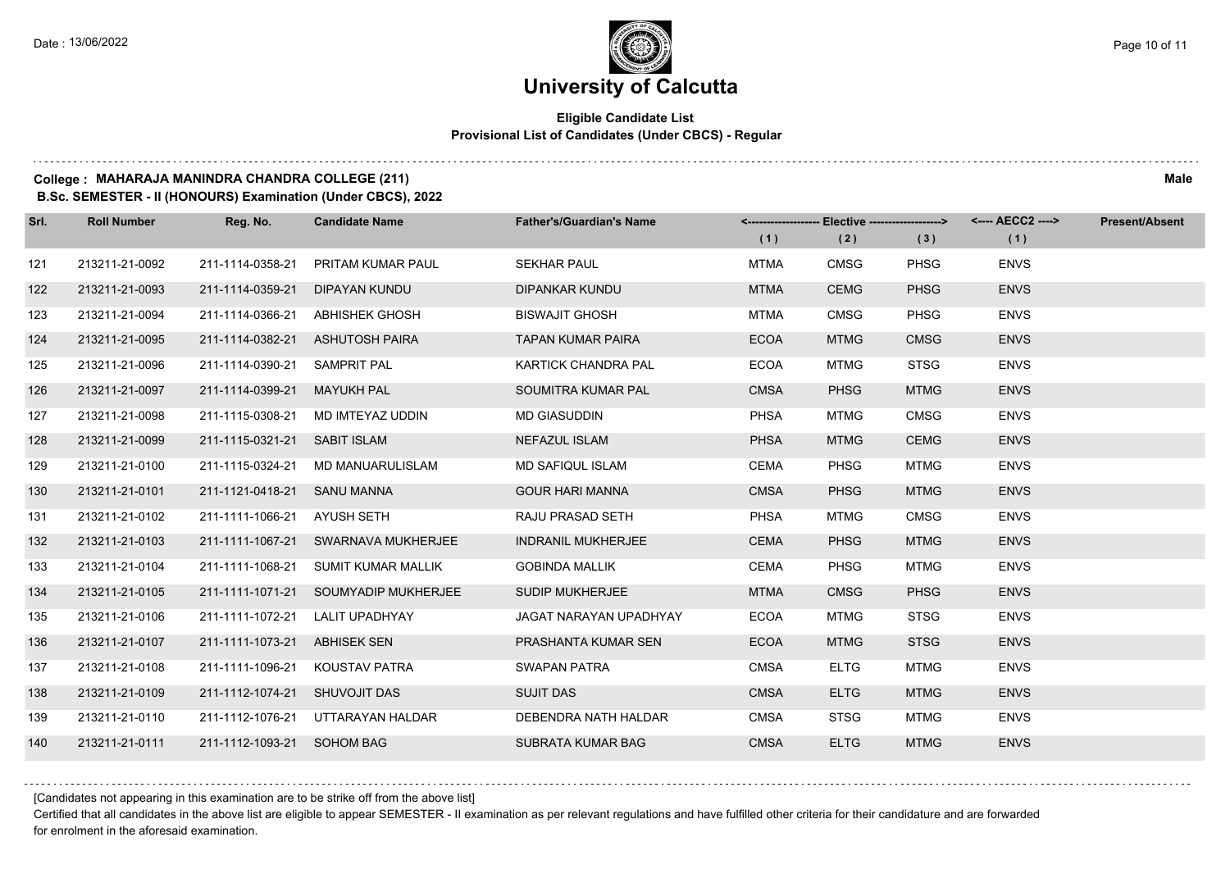#### **Eligible Candidate List Provisional List of Candidates (Under CBCS) - Regular**

#### **College : MAHARAJA MANINDRA CHANDRA COLLEGE (211) Male**

**B.Sc. SEMESTER - II (HONOURS) Examination (Under CBCS), 2022**

| Srl. | <b>Roll Number</b> | Reg. No.                      | <b>Candidate Name</b>                | <b>Father's/Guardian's Name</b> | (1)         | <-------------------- Elective -------------------><br>(2) | (3)         | <---- AECC2 ----><br>(1) | <b>Present/Absent</b> |
|------|--------------------|-------------------------------|--------------------------------------|---------------------------------|-------------|------------------------------------------------------------|-------------|--------------------------|-----------------------|
| 121  | 213211-21-0092     | 211-1114-0358-21              | PRITAM KUMAR PAUL                    | <b>SEKHAR PAUL</b>              | <b>MTMA</b> | <b>CMSG</b>                                                | <b>PHSG</b> | <b>ENVS</b>              |                       |
| 122  | 213211-21-0093     | 211-1114-0359-21              | DIPAYAN KUNDU                        | <b>DIPANKAR KUNDU</b>           | <b>MTMA</b> | <b>CEMG</b>                                                | <b>PHSG</b> | <b>ENVS</b>              |                       |
| 123  | 213211-21-0094     | 211-1114-0366-21              | ABHISHEK GHOSH                       | <b>BISWAJIT GHOSH</b>           | <b>MTMA</b> | <b>CMSG</b>                                                | <b>PHSG</b> | <b>ENVS</b>              |                       |
| 124  | 213211-21-0095     |                               | 211-1114-0382-21 ASHUTOSH PAIRA      | <b>TAPAN KUMAR PAIRA</b>        | <b>ECOA</b> | <b>MTMG</b>                                                | <b>CMSG</b> | <b>ENVS</b>              |                       |
| 125  | 213211-21-0096     | 211-1114-0390-21              | SAMPRIT PAL                          | <b>KARTICK CHANDRA PAL</b>      | <b>ECOA</b> | <b>MTMG</b>                                                | <b>STSG</b> | <b>ENVS</b>              |                       |
| 126  | 213211-21-0097     | 211-1114-0399-21              | <b>MAYUKH PAL</b>                    | SOUMITRA KUMAR PAL              | <b>CMSA</b> | <b>PHSG</b>                                                | <b>MTMG</b> | <b>ENVS</b>              |                       |
| 127  | 213211-21-0098     | 211-1115-0308-21              | MD IMTEYAZ UDDIN                     | <b>MD GIASUDDIN</b>             | <b>PHSA</b> | <b>MTMG</b>                                                | <b>CMSG</b> | <b>ENVS</b>              |                       |
| 128  | 213211-21-0099     | 211-1115-0321-21 SABIT ISLAM  |                                      | NEFAZUL ISLAM                   | <b>PHSA</b> | <b>MTMG</b>                                                | <b>CEMG</b> | <b>ENVS</b>              |                       |
| 129  | 213211-21-0100     | 211-1115-0324-21              | MD MANUARULISLAM                     | MD SAFIQUL ISLAM                | <b>CEMA</b> | <b>PHSG</b>                                                | <b>MTMG</b> | <b>ENVS</b>              |                       |
| 130  | 213211-21-0101     | 211-1121-0418-21 SANU MANNA   |                                      | <b>GOUR HARI MANNA</b>          | <b>CMSA</b> | <b>PHSG</b>                                                | <b>MTMG</b> | <b>ENVS</b>              |                       |
| 131  | 213211-21-0102     | 211-1111-1066-21 AYUSH SETH   |                                      | RAJU PRASAD SETH                | <b>PHSA</b> | <b>MTMG</b>                                                | <b>CMSG</b> | <b>ENVS</b>              |                       |
| 132  | 213211-21-0103     |                               | 211-1111-1067-21 SWARNAVA MUKHERJEE  | <b>INDRANIL MUKHERJEE</b>       | <b>CEMA</b> | <b>PHSG</b>                                                | <b>MTMG</b> | <b>ENVS</b>              |                       |
| 133  | 213211-21-0104     | 211-1111-1068-21              | SUMIT KUMAR MALLIK                   | <b>GOBINDA MALLIK</b>           | <b>CEMA</b> | <b>PHSG</b>                                                | <b>MTMG</b> | <b>ENVS</b>              |                       |
| 134  | 213211-21-0105     |                               | 211-1111-1071-21 SOUMYADIP MUKHERJEE | <b>SUDIP MUKHERJEE</b>          | <b>MTMA</b> | <b>CMSG</b>                                                | <b>PHSG</b> | <b>ENVS</b>              |                       |
| 135  | 213211-21-0106     | 211-1111-1072-21              | LALIT UPADHYAY                       | <b>JAGAT NARAYAN UPADHYAY</b>   | <b>ECOA</b> | <b>MTMG</b>                                                | <b>STSG</b> | <b>ENVS</b>              |                       |
| 136  | 213211-21-0107     | 211-1111-1073-21 ABHISEK SEN  |                                      | PRASHANTA KUMAR SEN             | <b>ECOA</b> | <b>MTMG</b>                                                | <b>STSG</b> | <b>ENVS</b>              |                       |
| 137  | 213211-21-0108     | 211-1111-1096-21              | KOUSTAV PATRA                        | SWAPAN PATRA                    | <b>CMSA</b> | <b>ELTG</b>                                                | <b>MTMG</b> | <b>ENVS</b>              |                       |
| 138  | 213211-21-0109     | 211-1112-1074-21 SHUVOJIT DAS |                                      | <b>SUJIT DAS</b>                | <b>CMSA</b> | <b>ELTG</b>                                                | <b>MTMG</b> | <b>ENVS</b>              |                       |
| 139  | 213211-21-0110     | 211-1112-1076-21              | UTTARAYAN HALDAR                     | DEBENDRA NATH HALDAR            | <b>CMSA</b> | <b>STSG</b>                                                | <b>MTMG</b> | <b>ENVS</b>              |                       |
| 140  | 213211-21-0111     | 211-1112-1093-21 SOHOM BAG    |                                      | <b>SUBRATA KUMAR BAG</b>        | <b>CMSA</b> | <b>ELTG</b>                                                | <b>MTMG</b> | <b>ENVS</b>              |                       |

[Candidates not appearing in this examination are to be strike off from the above list]

Certified that all candidates in the above list are eligible to appear SEMESTER - II examination as per relevant regulations and have fulfilled other criteria for their candidature and are forwarded for enrolment in the aforesaid examination.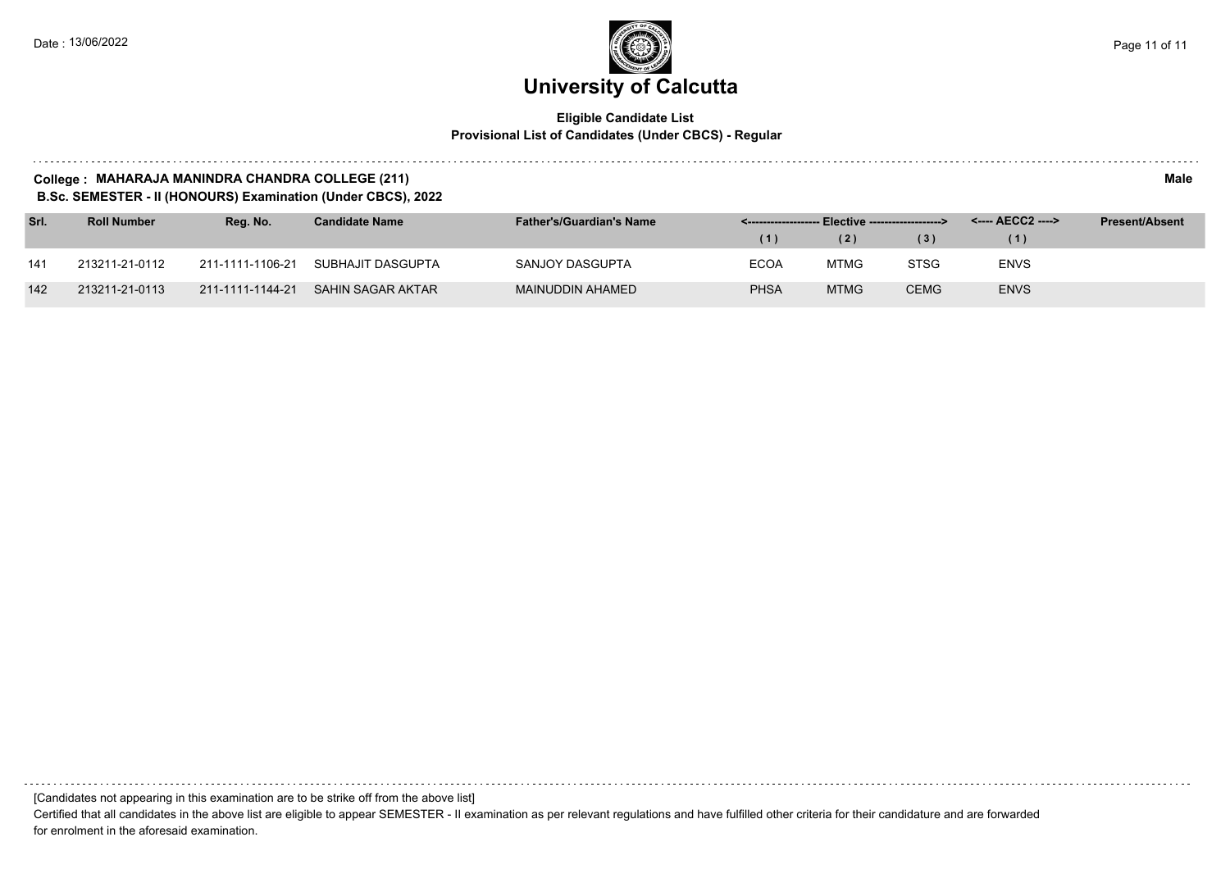#### **Eligible Candidate List Provisional List of Candidates (Under CBCS) - Regular**

#### **College : MAHARAJA MANINDRA CHANDRA COLLEGE (211) Male**

**B.Sc. SEMESTER - II (HONOURS) Examination (Under CBCS), 2022**

| Srl. | <b>Roll Number</b> | Rea. No.         | <b>Candidate Name</b> | <b>Father's/Guardian's Name</b> |             |             |             | <---- AECC2 ----> | <b>Present/Absent</b> |
|------|--------------------|------------------|-----------------------|---------------------------------|-------------|-------------|-------------|-------------------|-----------------------|
|      |                    |                  |                       |                                 | (1)         | (2)         | (3)         | (1)               |                       |
| 141  | 213211-21-0112     | 211-1111-1106-21 | SUBHAJIT DASGUPTA     | SANJOY DASGUPTA                 | <b>ECOA</b> | MTMG        | <b>STSG</b> | <b>ENVS</b>       |                       |
| 142  | 213211-21-0113     | 211-1111-1144-21 | SAHIN SAGAR AKTAR     | MAINUDDIN AHAMED                | <b>PHSA</b> | <b>MTMG</b> | <b>CEMG</b> | <b>ENVS</b>       |                       |

[Candidates not appearing in this examination are to be strike off from the above list]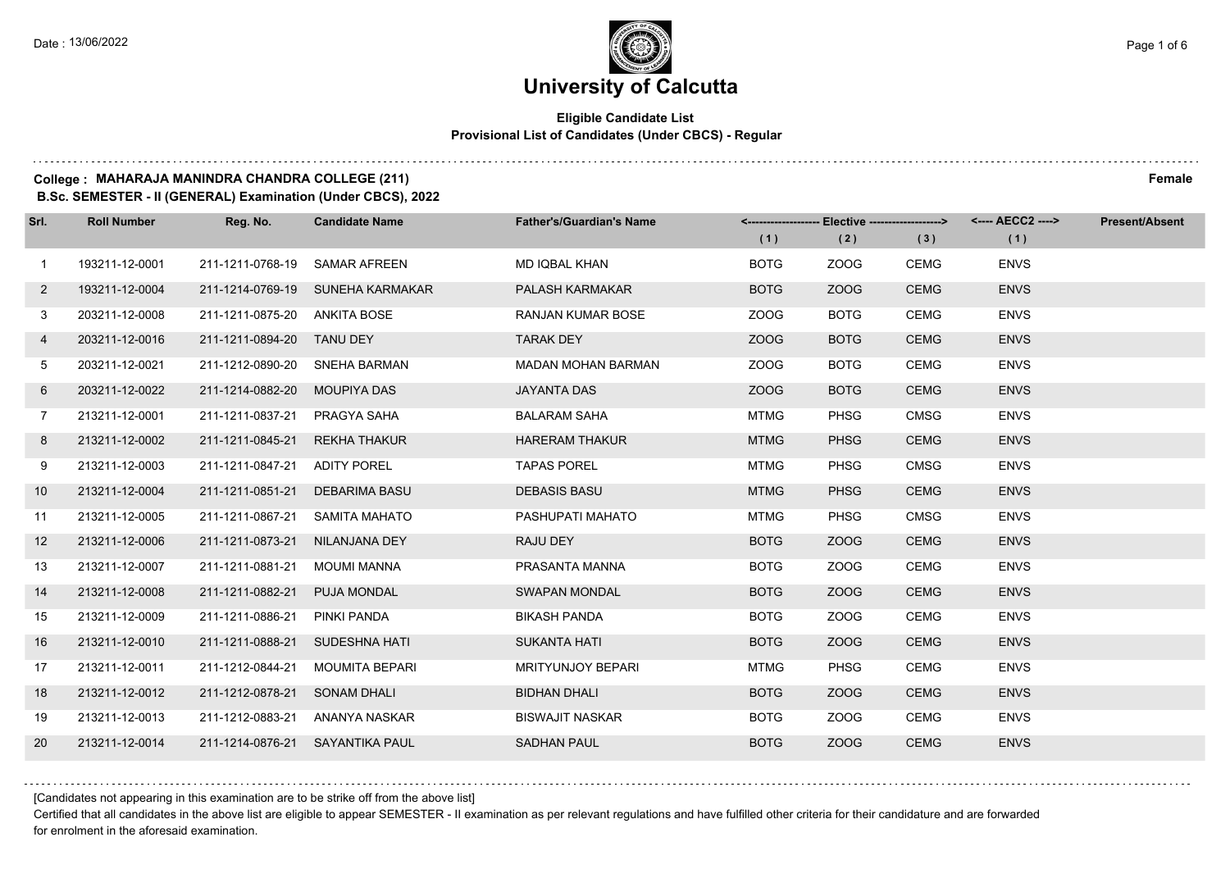#### **Eligible Candidate List Provisional List of Candidates (Under CBCS) - Regular**

#### **College : MAHARAJA MANINDRA CHANDRA COLLEGE (211) Female**

**B.Sc. SEMESTER - II (GENERAL) Examination (Under CBCS), 2022**

| Srl.           | <b>Roll Number</b> | Reg. No.                      | <b>Candidate Name</b>            | <b>Father's/Guardian's Name</b> |             | <------------------- Elective ------------------> |             | <---- AECC2 ----> | <b>Present/Absent</b> |
|----------------|--------------------|-------------------------------|----------------------------------|---------------------------------|-------------|---------------------------------------------------|-------------|-------------------|-----------------------|
|                |                    |                               |                                  |                                 | (1)         | (2)                                               | (3)         | (1)               |                       |
| $\mathbf{1}$   | 193211-12-0001     | 211-1211-0768-19 SAMAR AFREEN |                                  | MD IQBAL KHAN                   | <b>BOTG</b> | ZOOG                                              | <b>CEMG</b> | <b>ENVS</b>       |                       |
| $\overline{2}$ | 193211-12-0004     |                               | 211-1214-0769-19 SUNEHA KARMAKAR | <b>PALASH KARMAKAR</b>          | <b>BOTG</b> | ZOOG                                              | <b>CEMG</b> | <b>ENVS</b>       |                       |
| 3              | 203211-12-0008     | 211-1211-0875-20 ANKITA BOSE  |                                  | <b>RANJAN KUMAR BOSE</b>        | ZOOG        | <b>BOTG</b>                                       | <b>CEMG</b> | <b>ENVS</b>       |                       |
| 4              | 203211-12-0016     | 211-1211-0894-20 TANU DEY     |                                  | <b>TARAK DEY</b>                | ZOOG        | <b>BOTG</b>                                       | <b>CEMG</b> | <b>ENVS</b>       |                       |
| 5              | 203211-12-0021     | 211-1212-0890-20              | SNEHA BARMAN                     | <b>MADAN MOHAN BARMAN</b>       | ZOOG        | <b>BOTG</b>                                       | <b>CEMG</b> | <b>ENVS</b>       |                       |
| 6              | 203211-12-0022     | 211-1214-0882-20              | MOUPIYA DAS                      | <b>JAYANTA DAS</b>              | ZOOG        | <b>BOTG</b>                                       | <b>CEMG</b> | <b>ENVS</b>       |                       |
| $7^{\circ}$    | 213211-12-0001     | 211-1211-0837-21              | PRAGYA SAHA                      | <b>BALARAM SAHA</b>             | MTMG        | <b>PHSG</b>                                       | <b>CMSG</b> | <b>ENVS</b>       |                       |
| 8              | 213211-12-0002     | 211-1211-0845-21              | <b>REKHA THAKUR</b>              | <b>HARERAM THAKUR</b>           | <b>MTMG</b> | <b>PHSG</b>                                       | <b>CEMG</b> | <b>ENVS</b>       |                       |
| 9              | 213211-12-0003     | 211-1211-0847-21              | <b>ADITY POREL</b>               | <b>TAPAS POREL</b>              | <b>MTMG</b> | <b>PHSG</b>                                       | <b>CMSG</b> | <b>ENVS</b>       |                       |
| 10             | 213211-12-0004     | 211-1211-0851-21              | DEBARIMA BASU                    | <b>DEBASIS BASU</b>             | <b>MTMG</b> | <b>PHSG</b>                                       | <b>CEMG</b> | <b>ENVS</b>       |                       |
| 11             | 213211-12-0005     | 211-1211-0867-21              | SAMITA MAHATO                    | PASHUPATI MAHATO                | <b>MTMG</b> | <b>PHSG</b>                                       | <b>CMSG</b> | <b>ENVS</b>       |                       |
| 12             | 213211-12-0006     | 211-1211-0873-21              | NILANJANA DEY                    | RAJU DEY                        | <b>BOTG</b> | ZOOG                                              | <b>CEMG</b> | <b>ENVS</b>       |                       |
| 13             | 213211-12-0007     | 211-1211-0881-21              | MOUMI MANNA                      | PRASANTA MANNA                  | <b>BOTG</b> | ZOOG                                              | <b>CEMG</b> | <b>ENVS</b>       |                       |
| 14             | 213211-12-0008     | 211-1211-0882-21              | <b>PUJA MONDAL</b>               | <b>SWAPAN MONDAL</b>            | <b>BOTG</b> | ZOOG                                              | <b>CEMG</b> | <b>ENVS</b>       |                       |
| 15             | 213211-12-0009     | 211-1211-0886-21              | PINKI PANDA                      | <b>BIKASH PANDA</b>             | <b>BOTG</b> | ZOOG                                              | <b>CEMG</b> | <b>ENVS</b>       |                       |
| 16             | 213211-12-0010     | 211-1211-0888-21              | SUDESHNA HATI                    | <b>SUKANTA HATI</b>             | <b>BOTG</b> | ZOOG                                              | <b>CEMG</b> | <b>ENVS</b>       |                       |
| 17             | 213211-12-0011     | 211-1212-0844-21              | <b>MOUMITA BEPARI</b>            | <b>MRITYUNJOY BEPARI</b>        | <b>MTMG</b> | <b>PHSG</b>                                       | <b>CEMG</b> | <b>ENVS</b>       |                       |
| 18             | 213211-12-0012     | 211-1212-0878-21              | <b>SONAM DHALI</b>               | <b>BIDHAN DHALI</b>             | <b>BOTG</b> | ZOOG                                              | <b>CEMG</b> | <b>ENVS</b>       |                       |
| 19             | 213211-12-0013     | 211-1212-0883-21              | ANANYA NASKAR                    | <b>BISWAJIT NASKAR</b>          | <b>BOTG</b> | ZOOG                                              | <b>CEMG</b> | <b>ENVS</b>       |                       |
| 20             | 213211-12-0014     |                               | 211-1214-0876-21 SAYANTIKA PAUL  | <b>SADHAN PAUL</b>              | <b>BOTG</b> | ZOOG                                              | <b>CEMG</b> | <b>ENVS</b>       |                       |

[Candidates not appearing in this examination are to be strike off from the above list]

Certified that all candidates in the above list are eligible to appear SEMESTER - II examination as per relevant regulations and have fulfilled other criteria for their candidature and are forwarded for enrolment in the aforesaid examination.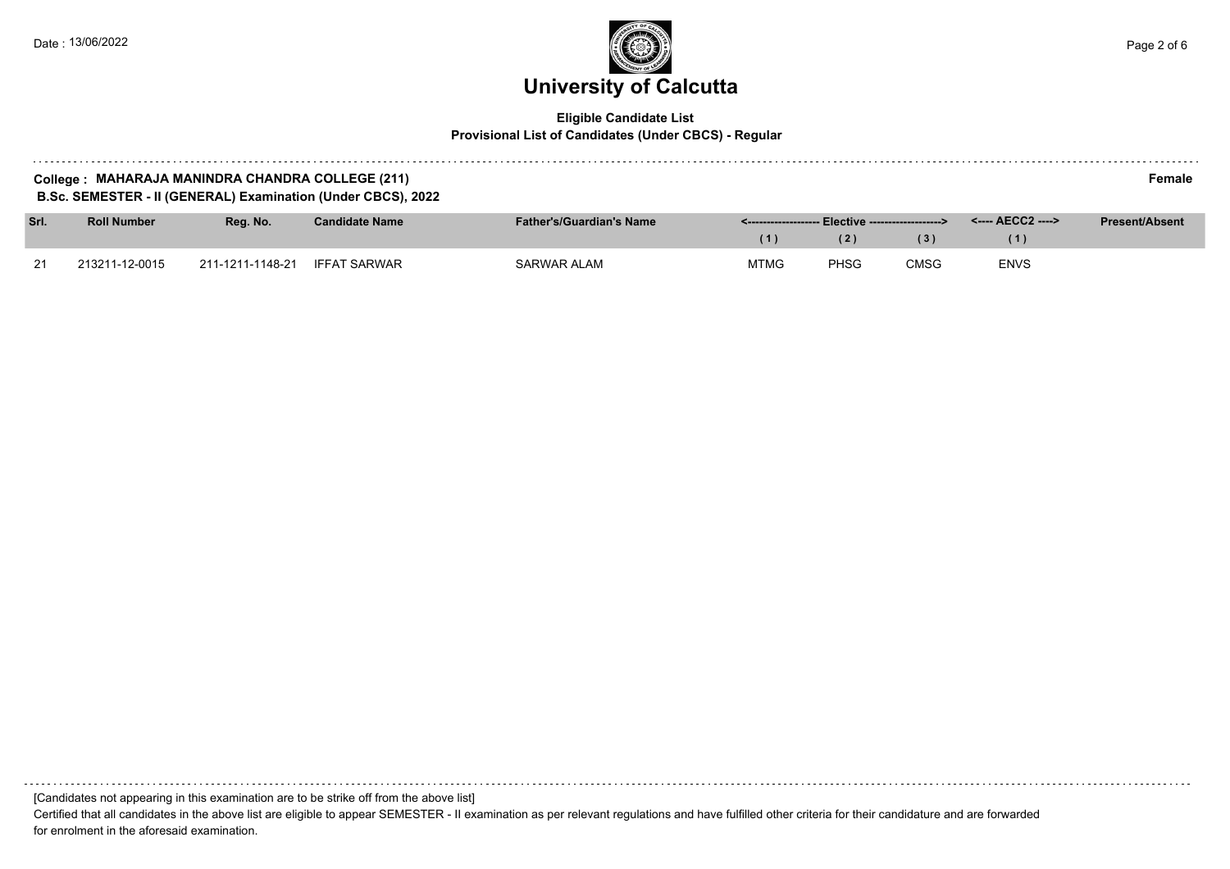a sistema

### **University of Calcutta**  Date : 13/06/2022 Page 2 of 6

#### **Eligible Candidate List Provisional List of Candidates (Under CBCS) - Regular**

| College: MAHARAJA MANINDRA CHANDRA COLLEGE (211)             | Female |
|--------------------------------------------------------------|--------|
| B.Sc. SEMESTER - II (GENERAL) Examination (Under CBCS), 2022 |        |

| Srl.           | <b>Roll Number</b> | Reg. No.         | Candidate Name      | <b>Father's/Guardian's Name</b> |             |             | <---- AECC2 ----> | <b>Present/Absent</b> |  |
|----------------|--------------------|------------------|---------------------|---------------------------------|-------------|-------------|-------------------|-----------------------|--|
|                |                    |                  |                     |                                 |             | (2)         | 3)                |                       |  |
| 21<br><u>_</u> | 213211-12-0015     | 211-1211-1148-21 | <b>IFFAT SARWAR</b> | SARWAR ALAM                     | <b>MTMG</b> | <b>PHSG</b> | <b>CMSG</b>       | ENVS                  |  |

[Candidates not appearing in this examination are to be strike off from the above list]

Certified that all candidates in the above list are eligible to appear SEMESTER - II examination as per relevant regulations and have fulfilled other criteria for their candidature and are forwarded for enrolment in the aforesaid examination.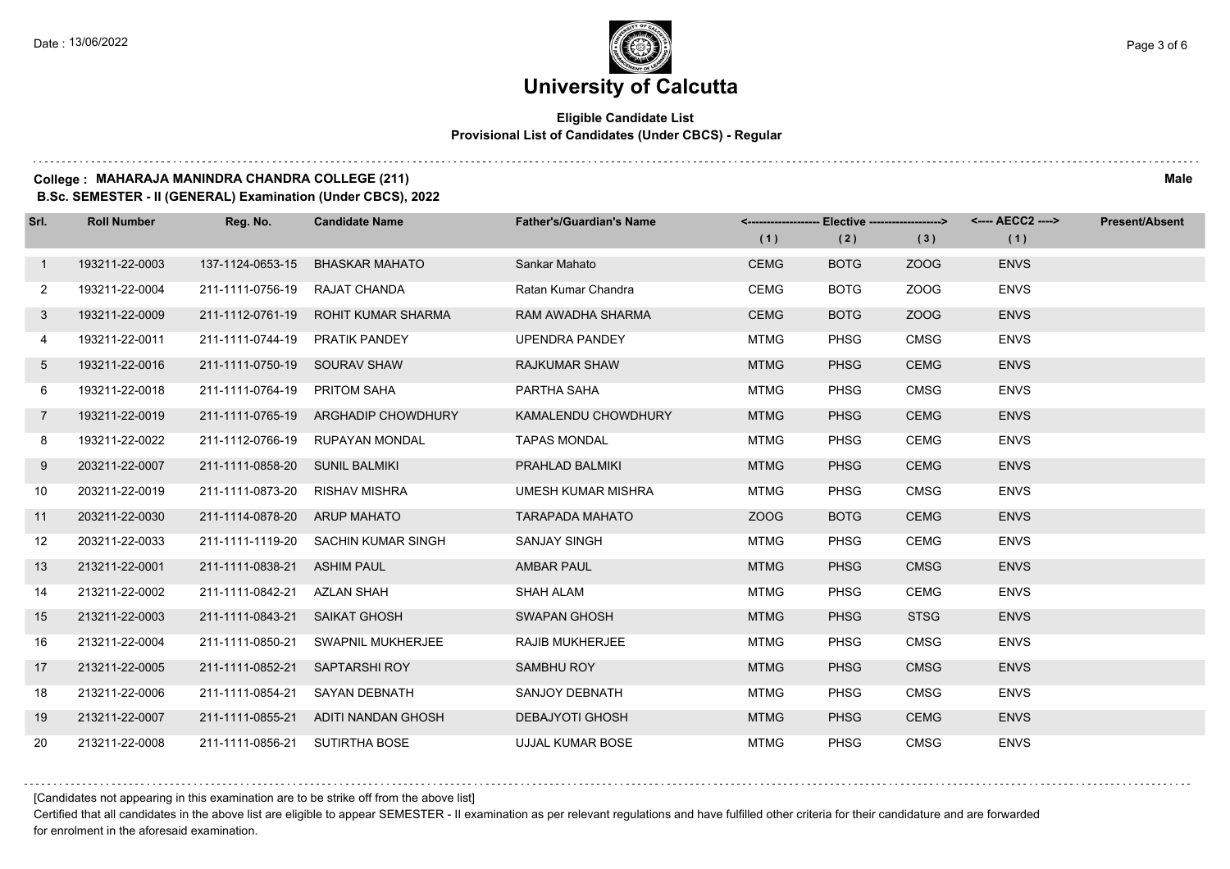#### **Eligible Candidate List Provisional List of Candidates (Under CBCS) - Regular**

#### **College : MAHARAJA MANINDRA CHANDRA COLLEGE (211) Male**

**B.Sc. SEMESTER - II (GENERAL) Examination (Under CBCS), 2022**

| Srl.            | <b>Roll Number</b> | Reg. No.                       | <b>Candidate Name</b>               | <b>Father's/Guardian's Name</b> |             |             | <------------------- Elective ------------------> <---- AECC2 ----> |             | <b>Present/Absent</b> |
|-----------------|--------------------|--------------------------------|-------------------------------------|---------------------------------|-------------|-------------|---------------------------------------------------------------------|-------------|-----------------------|
|                 |                    |                                |                                     |                                 | (1)         | (2)         | (3)                                                                 | (1)         |                       |
| $\mathbf{1}$    | 193211-22-0003     | 137-1124-0653-15               | <b>BHASKAR MAHATO</b>               | Sankar Mahato                   | <b>CEMG</b> | <b>BOTG</b> | ZOOG                                                                | <b>ENVS</b> |                       |
| $\mathbf{2}$    | 193211-22-0004     | 211-1111-0756-19               | RAJAT CHANDA                        | Ratan Kumar Chandra             | <b>CEMG</b> | <b>BOTG</b> | ZOOG                                                                | <b>ENVS</b> |                       |
| 3               | 193211-22-0009     |                                | 211-1112-0761-19 ROHIT KUMAR SHARMA | RAM AWADHA SHARMA               | <b>CEMG</b> | <b>BOTG</b> | ZOOG                                                                | <b>ENVS</b> |                       |
| 4               | 193211-22-0011     | 211-1111-0744-19 PRATIK PANDEY |                                     | UPENDRA PANDEY                  | <b>MTMG</b> | <b>PHSG</b> | <b>CMSG</b>                                                         | <b>ENVS</b> |                       |
| 5               | 193211-22-0016     | 211-1111-0750-19 SOURAV SHAW   |                                     | <b>RAJKUMAR SHAW</b>            | <b>MTMG</b> | <b>PHSG</b> | <b>CEMG</b>                                                         | <b>ENVS</b> |                       |
| 6               | 193211-22-0018     | 211-1111-0764-19               | <b>PRITOM SAHA</b>                  | PARTHA SAHA                     | <b>MTMG</b> | <b>PHSG</b> | <b>CMSG</b>                                                         | <b>ENVS</b> |                       |
| $7\overline{ }$ | 193211-22-0019     |                                | 211-1111-0765-19 ARGHADIP CHOWDHURY | KAMALENDU CHOWDHURY             | <b>MTMG</b> | <b>PHSG</b> | <b>CEMG</b>                                                         | <b>ENVS</b> |                       |
| 8               | 193211-22-0022     |                                | 211-1112-0766-19 RUPAYAN MONDAL     | <b>TAPAS MONDAL</b>             | MTMG        | <b>PHSG</b> | <b>CEMG</b>                                                         | <b>ENVS</b> |                       |
| 9               | 203211-22-0007     | 211-1111-0858-20 SUNIL BALMIKI |                                     | PRAHLAD BALMIKI                 | <b>MTMG</b> | <b>PHSG</b> | <b>CEMG</b>                                                         | <b>ENVS</b> |                       |
| 10              | 203211-22-0019     | 211-1111-0873-20 RISHAV MISHRA |                                     | <b>UMESH KUMAR MISHRA</b>       | <b>MTMG</b> | <b>PHSG</b> | <b>CMSG</b>                                                         | <b>ENVS</b> |                       |
| 11              | 203211-22-0030     | 211-1114-0878-20 ARUP MAHATO   |                                     | <b>TARAPADA MAHATO</b>          | ZOOG        | <b>BOTG</b> | <b>CEMG</b>                                                         | <b>ENVS</b> |                       |
| 12              | 203211-22-0033     |                                | 211-1111-1119-20 SACHIN KUMAR SINGH | <b>SANJAY SINGH</b>             | <b>MTMG</b> | <b>PHSG</b> | <b>CEMG</b>                                                         | <b>ENVS</b> |                       |
| 13              | 213211-22-0001     | 211-1111-0838-21 ASHIM PAUL    |                                     | <b>AMBAR PAUL</b>               | <b>MTMG</b> | <b>PHSG</b> | <b>CMSG</b>                                                         | <b>ENVS</b> |                       |
| 14              | 213211-22-0002     | 211-1111-0842-21 AZLAN SHAH    |                                     | <b>SHAH ALAM</b>                | <b>MTMG</b> | <b>PHSG</b> | <b>CEMG</b>                                                         | <b>ENVS</b> |                       |
| 15              | 213211-22-0003     | 211-1111-0843-21 SAIKAT GHOSH  |                                     | <b>SWAPAN GHOSH</b>             | <b>MTMG</b> | <b>PHSG</b> | <b>STSG</b>                                                         | <b>ENVS</b> |                       |
| 16              | 213211-22-0004     | 211-1111-0850-21               | SWAPNIL MUKHERJEE                   | <b>RAJIB MUKHERJEE</b>          | <b>MTMG</b> | <b>PHSG</b> | <b>CMSG</b>                                                         | <b>ENVS</b> |                       |
| 17              | 213211-22-0005     | 211-1111-0852-21               | SAPTARSHI ROY                       | SAMBHU ROY                      | <b>MTMG</b> | <b>PHSG</b> | <b>CMSG</b>                                                         | <b>ENVS</b> |                       |
| 18              | 213211-22-0006     | 211-1111-0854-21               | SAYAN DEBNATH                       | SANJOY DEBNATH                  | MTMG        | <b>PHSG</b> | <b>CMSG</b>                                                         | <b>ENVS</b> |                       |
| 19              | 213211-22-0007     |                                | 211-1111-0855-21 ADITI NANDAN GHOSH | <b>DEBAJYOTI GHOSH</b>          | <b>MTMG</b> | <b>PHSG</b> | <b>CEMG</b>                                                         | <b>ENVS</b> |                       |
| 20              | 213211-22-0008     | 211-1111-0856-21 SUTIRTHA BOSE |                                     | UJJAL KUMAR BOSE                | <b>MTMG</b> | <b>PHSG</b> | <b>CMSG</b>                                                         | <b>ENVS</b> |                       |

[Candidates not appearing in this examination are to be strike off from the above list]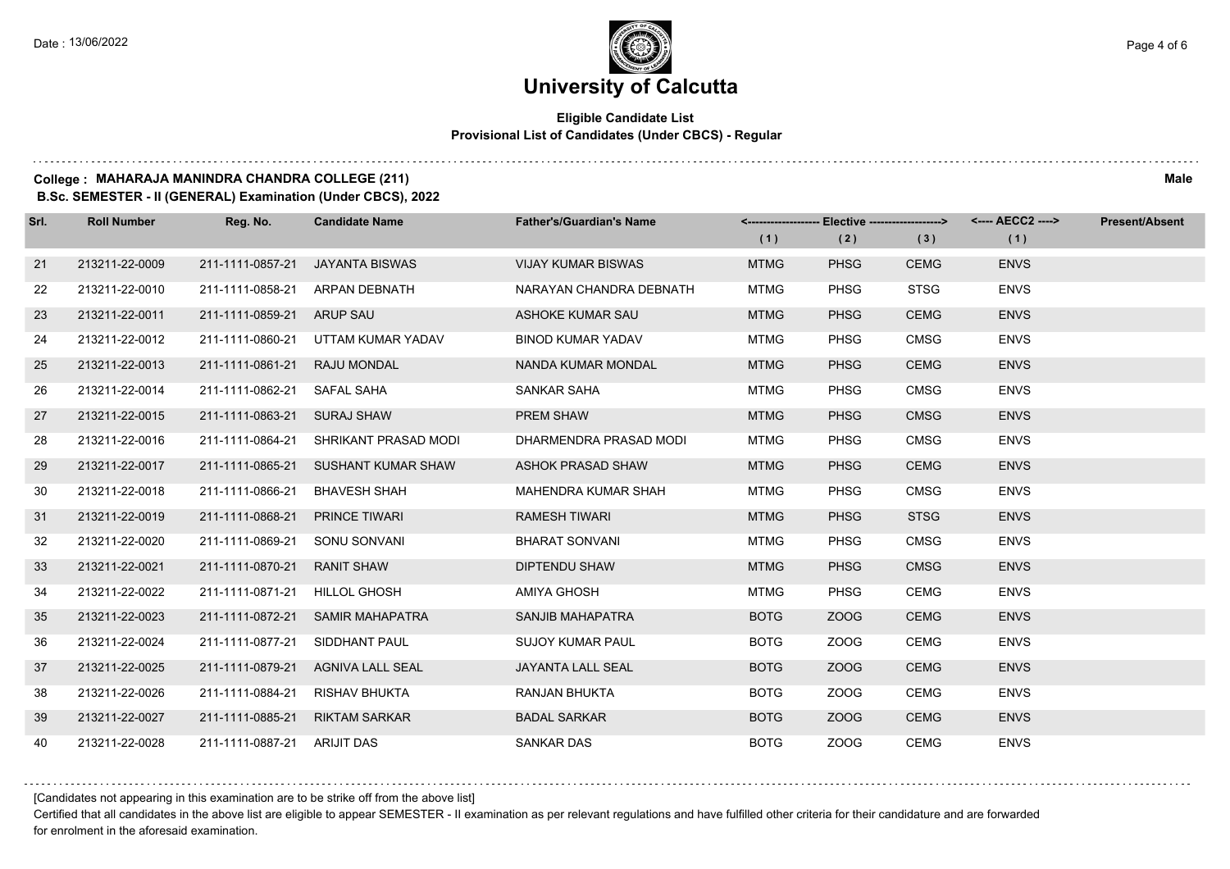#### **Eligible Candidate List Provisional List of Candidates (Under CBCS) - Regular**

#### **College : MAHARAJA MANINDRA CHANDRA COLLEGE (211) Male**

**B.Sc. SEMESTER - II (GENERAL) Examination (Under CBCS), 2022**

| Srl. | <b>Roll Number</b> | Reg. No.                      | <b>Candidate Name</b>  | <b>Father's/Guardian's Name</b> | (1)         | (2)         | <------------------- Elective ------------------> <---- AECC2 ----><br>(3) | (1)         | <b>Present/Absent</b> |
|------|--------------------|-------------------------------|------------------------|---------------------------------|-------------|-------------|----------------------------------------------------------------------------|-------------|-----------------------|
| 21   | 213211-22-0009     | 211-1111-0857-21              | <b>JAYANTA BISWAS</b>  | <b>VIJAY KUMAR BISWAS</b>       | <b>MTMG</b> | <b>PHSG</b> | <b>CEMG</b>                                                                | <b>ENVS</b> |                       |
| 22   | 213211-22-0010     | 211-1111-0858-21              | ARPAN DEBNATH          | NARAYAN CHANDRA DEBNATH         | <b>MTMG</b> | PHSG        | <b>STSG</b>                                                                | <b>ENVS</b> |                       |
| 23   | 213211-22-0011     | 211-1111-0859-21 ARUP SAU     |                        | ASHOKE KUMAR SAU                | <b>MTMG</b> | <b>PHSG</b> | <b>CEMG</b>                                                                | <b>ENVS</b> |                       |
| 24   | 213211-22-0012     | 211-1111-0860-21              | UTTAM KUMAR YADAV      | <b>BINOD KUMAR YADAV</b>        | <b>MTMG</b> | <b>PHSG</b> | <b>CMSG</b>                                                                | <b>ENVS</b> |                       |
| 25   | 213211-22-0013     | 211-1111-0861-21              | <b>RAJU MONDAL</b>     | NANDA KUMAR MONDAL              | <b>MTMG</b> | <b>PHSG</b> | <b>CEMG</b>                                                                | <b>ENVS</b> |                       |
| 26   | 213211-22-0014     | 211-1111-0862-21              | SAFAL SAHA             | SANKAR SAHA                     | <b>MTMG</b> | <b>PHSG</b> | <b>CMSG</b>                                                                | <b>ENVS</b> |                       |
| 27   | 213211-22-0015     | 211-1111-0863-21              | SURAJ SHAW             | PREM SHAW                       | <b>MTMG</b> | <b>PHSG</b> | <b>CMSG</b>                                                                | <b>ENVS</b> |                       |
| 28   | 213211-22-0016     | 211-1111-0864-21              | SHRIKANT PRASAD MODI   | DHARMENDRA PRASAD MODI          | <b>MTMG</b> | <b>PHSG</b> | <b>CMSG</b>                                                                | <b>ENVS</b> |                       |
| 29   | 213211-22-0017     | 211-1111-0865-21              | SUSHANT KUMAR SHAW     | ASHOK PRASAD SHAW               | <b>MTMG</b> | <b>PHSG</b> | <b>CEMG</b>                                                                | <b>ENVS</b> |                       |
| 30   | 213211-22-0018     | 211-1111-0866-21              | <b>BHAVESH SHAH</b>    | MAHENDRA KUMAR SHAH             | <b>MTMG</b> | <b>PHSG</b> | <b>CMSG</b>                                                                | <b>ENVS</b> |                       |
| 31   | 213211-22-0019     | 211-1111-0868-21              | <b>PRINCE TIWARI</b>   | <b>RAMESH TIWARI</b>            | <b>MTMG</b> | <b>PHSG</b> | <b>STSG</b>                                                                | <b>ENVS</b> |                       |
| 32   | 213211-22-0020     | 211-1111-0869-21              | SONU SONVANI           | <b>BHARAT SONVANI</b>           | <b>MTMG</b> | <b>PHSG</b> | <b>CMSG</b>                                                                | <b>ENVS</b> |                       |
| 33   | 213211-22-0021     | 211-1111-0870-21              | <b>RANIT SHAW</b>      | <b>DIPTENDU SHAW</b>            | <b>MTMG</b> | <b>PHSG</b> | <b>CMSG</b>                                                                | <b>ENVS</b> |                       |
| 34   | 213211-22-0022     | 211-1111-0871-21 HILLOL GHOSH |                        | <b>AMIYA GHOSH</b>              | <b>MTMG</b> | <b>PHSG</b> | <b>CEMG</b>                                                                | <b>ENVS</b> |                       |
| 35   | 213211-22-0023     | 211-1111-0872-21              | <b>SAMIR MAHAPATRA</b> | SANJIB MAHAPATRA                | <b>BOTG</b> | ZOOG        | <b>CEMG</b>                                                                | <b>ENVS</b> |                       |
| 36   | 213211-22-0024     | 211-1111-0877-21              | SIDDHANT PAUL          | <b>SUJOY KUMAR PAUL</b>         | <b>BOTG</b> | ZOOG        | <b>CEMG</b>                                                                | <b>ENVS</b> |                       |
| 37   | 213211-22-0025     | 211-1111-0879-21              | AGNIVA LALL SEAL       | JAYANTA LALL SEAL               | <b>BOTG</b> | ZOOG        | <b>CEMG</b>                                                                | <b>ENVS</b> |                       |
| 38   | 213211-22-0026     | 211-1111-0884-21              | RISHAV BHUKTA          | RANJAN BHUKTA                   | <b>BOTG</b> | ZOOG        | CEMG                                                                       | <b>ENVS</b> |                       |
| 39   | 213211-22-0027     | 211-1111-0885-21              | <b>RIKTAM SARKAR</b>   | <b>BADAL SARKAR</b>             | <b>BOTG</b> | ZOOG        | <b>CEMG</b>                                                                | <b>ENVS</b> |                       |
| 40   | 213211-22-0028     | 211-1111-0887-21 ARIJIT DAS   |                        | <b>SANKAR DAS</b>               | <b>BOTG</b> | ZOOG        | <b>CEMG</b>                                                                | <b>ENVS</b> |                       |

[Candidates not appearing in this examination are to be strike off from the above list]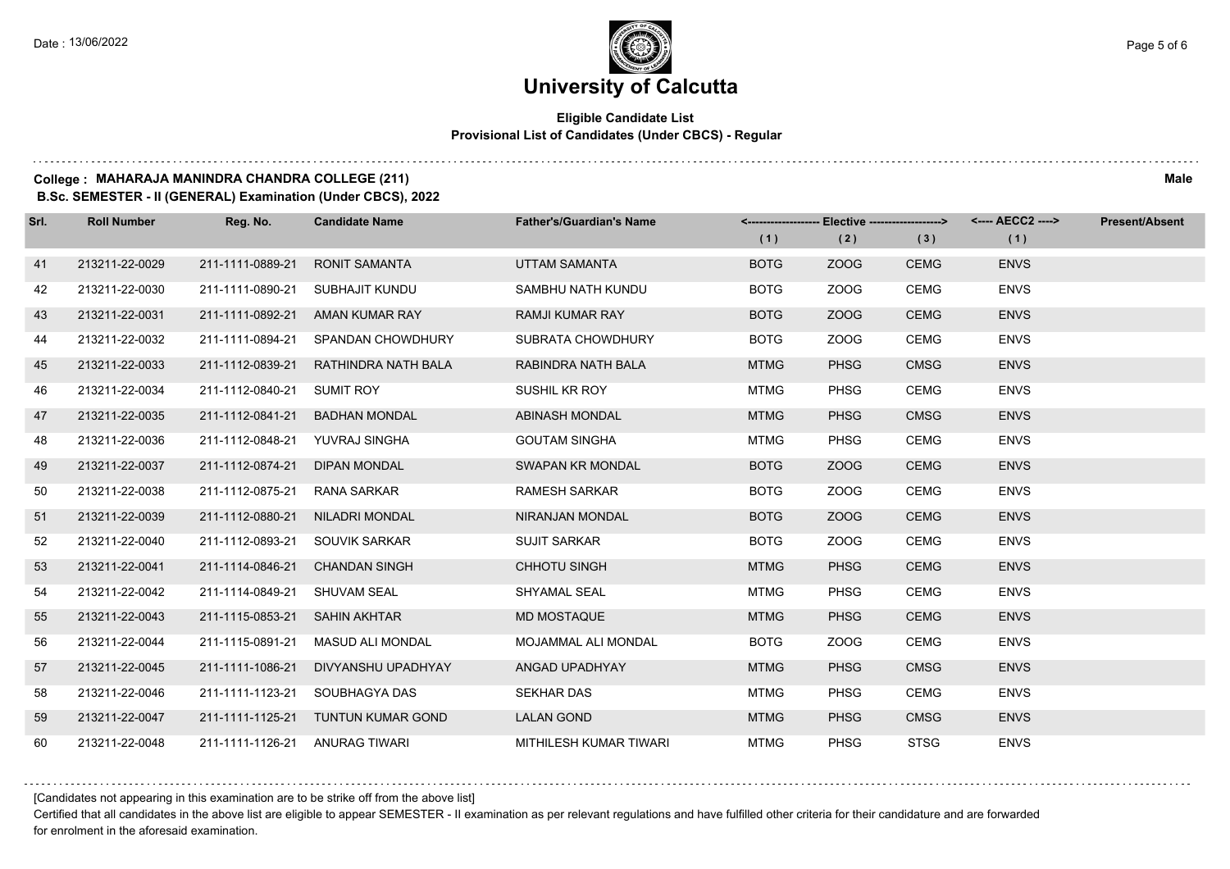#### **Eligible Candidate List Provisional List of Candidates (Under CBCS) - Regular**

#### **College : MAHARAJA MANINDRA CHANDRA COLLEGE (211) Male**

**B.Sc. SEMESTER - II (GENERAL) Examination (Under CBCS), 2022**

| Srl. | <b>Roll Number</b> | Reg. No.                       | <b>Candidate Name</b> | <b>Father's/Guardian's Name</b> | (1)         | <------------------- Elective ------------------><br>(2) | (3)         | (1)         | <b>Present/Absent</b> |
|------|--------------------|--------------------------------|-----------------------|---------------------------------|-------------|----------------------------------------------------------|-------------|-------------|-----------------------|
| 41   | 213211-22-0029     | 211-1111-0889-21               | <b>RONIT SAMANTA</b>  | <b>UTTAM SAMANTA</b>            | <b>BOTG</b> | ZOOG                                                     | <b>CEMG</b> | <b>ENVS</b> |                       |
| 42   | 213211-22-0030     | 211-1111-0890-21               | SUBHAJIT KUNDU        | SAMBHU NATH KUNDU               | <b>BOTG</b> | ZOOG                                                     | CEMG        | <b>ENVS</b> |                       |
| 43   | 213211-22-0031     | 211-1111-0892-21               | AMAN KUMAR RAY        | <b>RAMJI KUMAR RAY</b>          | <b>BOTG</b> | ZOOG                                                     | <b>CEMG</b> | <b>ENVS</b> |                       |
| 44   | 213211-22-0032     | 211-1111-0894-21               | SPANDAN CHOWDHURY     | <b>SUBRATA CHOWDHURY</b>        | <b>BOTG</b> | ZOOG                                                     | <b>CEMG</b> | <b>ENVS</b> |                       |
| 45   | 213211-22-0033     | 211-1112-0839-21               | RATHINDRA NATH BALA   | RABINDRA NATH BALA              | <b>MTMG</b> | <b>PHSG</b>                                              | <b>CMSG</b> | <b>ENVS</b> |                       |
| 46   | 213211-22-0034     | 211-1112-0840-21               | <b>SUMIT ROY</b>      | SUSHIL KR ROY                   | <b>MTMG</b> | <b>PHSG</b>                                              | <b>CEMG</b> | <b>ENVS</b> |                       |
| 47   | 213211-22-0035     | 211-1112-0841-21               | <b>BADHAN MONDAL</b>  | <b>ABINASH MONDAL</b>           | <b>MTMG</b> | <b>PHSG</b>                                              | <b>CMSG</b> | <b>ENVS</b> |                       |
| 48   | 213211-22-0036     | 211-1112-0848-21 YUVRAJ SINGHA |                       | <b>GOUTAM SINGHA</b>            | <b>MTMG</b> | <b>PHSG</b>                                              | <b>CEMG</b> | <b>ENVS</b> |                       |
| 49   | 213211-22-0037     | 211-1112-0874-21               | <b>DIPAN MONDAL</b>   | <b>SWAPAN KR MONDAL</b>         | <b>BOTG</b> | ZOOG                                                     | <b>CEMG</b> | <b>ENVS</b> |                       |
| 50   | 213211-22-0038     | 211-1112-0875-21               | RANA SARKAR           | <b>RAMESH SARKAR</b>            | <b>BOTG</b> | ZOOG                                                     | CEMG        | <b>ENVS</b> |                       |
| 51   | 213211-22-0039     | 211-1112-0880-21               | NILADRI MONDAL        | NIRANJAN MONDAL                 | <b>BOTG</b> | ZOOG                                                     | <b>CEMG</b> | <b>ENVS</b> |                       |
| 52   | 213211-22-0040     | 211-1112-0893-21               | SOUVIK SARKAR         | <b>SUJIT SARKAR</b>             | <b>BOTG</b> | ZOOG                                                     | <b>CEMG</b> | <b>ENVS</b> |                       |
| 53   | 213211-22-0041     | 211-1114-0846-21               | <b>CHANDAN SINGH</b>  | CHHOTU SINGH                    | <b>MTMG</b> | <b>PHSG</b>                                              | <b>CEMG</b> | <b>ENVS</b> |                       |
| 54   | 213211-22-0042     | 211-1114-0849-21               | <b>SHUVAM SEAL</b>    | SHYAMAL SEAL                    | <b>MTMG</b> | <b>PHSG</b>                                              | CEMG        | <b>ENVS</b> |                       |
| 55   | 213211-22-0043     | 211-1115-0853-21               | <b>SAHIN AKHTAR</b>   | <b>MD MOSTAQUE</b>              | <b>MTMG</b> | <b>PHSG</b>                                              | <b>CEMG</b> | <b>ENVS</b> |                       |
| 56   | 213211-22-0044     | 211-1115-0891-21               | MASUD ALI MONDAL      | <b>MOJAMMAL ALI MONDAL</b>      | <b>BOTG</b> | ZOOG                                                     | <b>CEMG</b> | <b>ENVS</b> |                       |
| 57   | 213211-22-0045     | 211-1111-1086-21               | DIVYANSHU UPADHYAY    | ANGAD UPADHYAY                  | <b>MTMG</b> | <b>PHSG</b>                                              | <b>CMSG</b> | <b>ENVS</b> |                       |
| 58   | 213211-22-0046     | 211-1111-1123-21               | SOUBHAGYA DAS         | <b>SEKHAR DAS</b>               | <b>MTMG</b> | <b>PHSG</b>                                              | CEMG        | <b>ENVS</b> |                       |
| 59   | 213211-22-0047     | 211-1111-1125-21               | TUNTUN KUMAR GOND     | <b>LALAN GOND</b>               | <b>MTMG</b> | <b>PHSG</b>                                              | <b>CMSG</b> | <b>ENVS</b> |                       |
| 60   | 213211-22-0048     | 211-1111-1126-21 ANURAG TIWARI |                       | MITHILESH KUMAR TIWARI          | <b>MTMG</b> | <b>PHSG</b>                                              | <b>STSG</b> | <b>ENVS</b> |                       |

[Candidates not appearing in this examination are to be strike off from the above list]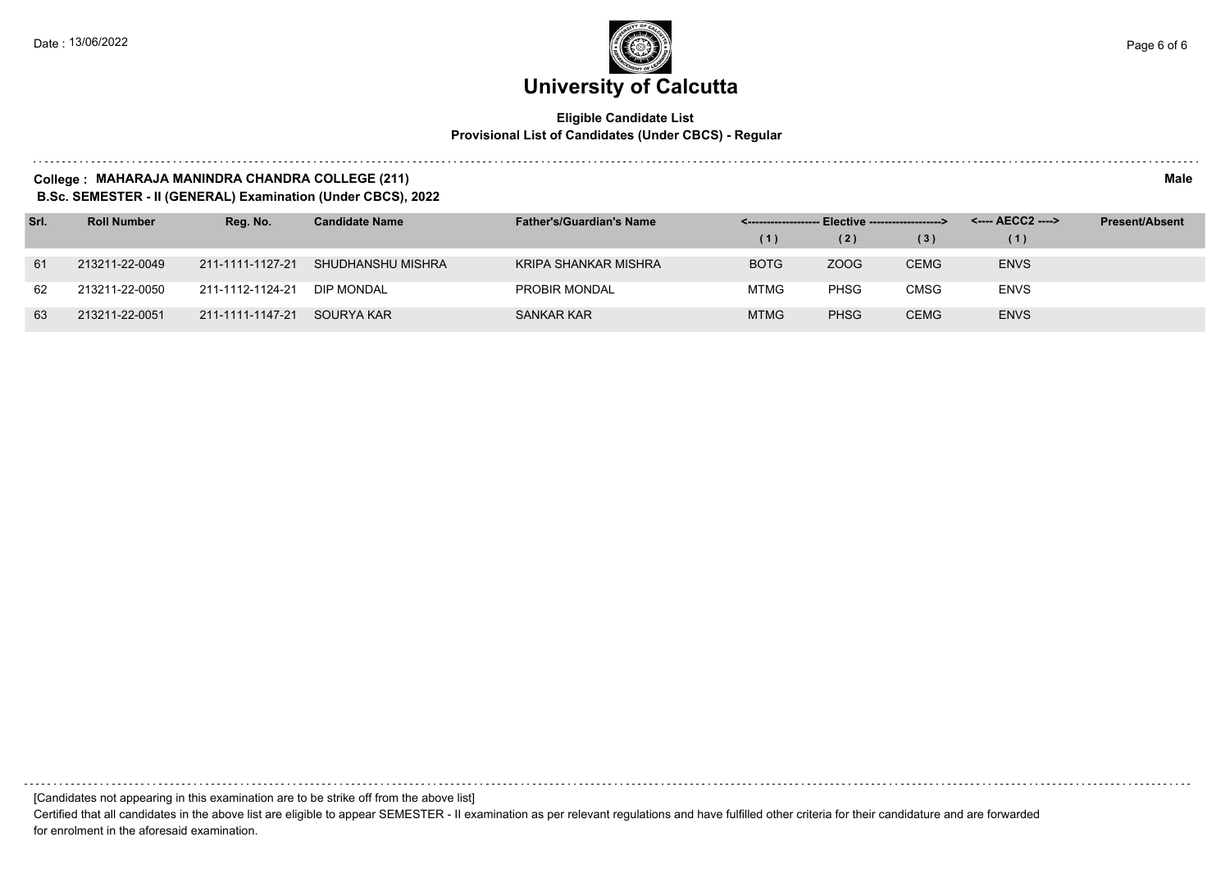#### **Eligible Candidate List Provisional List of Candidates (Under CBCS) - Regular**

#### **College : MAHARAJA MANINDRA CHANDRA COLLEGE (211) Male**

**B.Sc. SEMESTER - II (GENERAL) Examination (Under CBCS), 2022**

| Srl. | <b>Roll Number</b> | Reg. No.         | <b>Candidate Name</b> | <b>Father's/Guardian's Name</b> | <-------------------- Elective -------------------> |             |             |             | <b>Present/Absent</b> |
|------|--------------------|------------------|-----------------------|---------------------------------|-----------------------------------------------------|-------------|-------------|-------------|-----------------------|
|      |                    |                  |                       |                                 | (1)                                                 | (2)         | (3)         | (1)         |                       |
| 61   | 213211-22-0049     | 211-1111-1127-21 | SHUDHANSHU MISHRA     | KRIPA SHANKAR MISHRA            | <b>BOTG</b>                                         | ZOOG        | <b>CEMG</b> | <b>ENVS</b> |                       |
| 62   | 213211-22-0050     | 211-1112-1124-21 | DIP MONDAL            | PROBIR MONDAL                   | <b>MTMG</b>                                         | <b>PHSG</b> | <b>CMSG</b> | <b>ENVS</b> |                       |
| 63   | 213211-22-0051     | 211-1111-1147-21 | SOURYA KAR            | <b>SANKAR KAR</b>               | <b>MTMG</b>                                         | <b>PHSG</b> | <b>CEMG</b> | <b>ENVS</b> |                       |

[Candidates not appearing in this examination are to be strike off from the above list]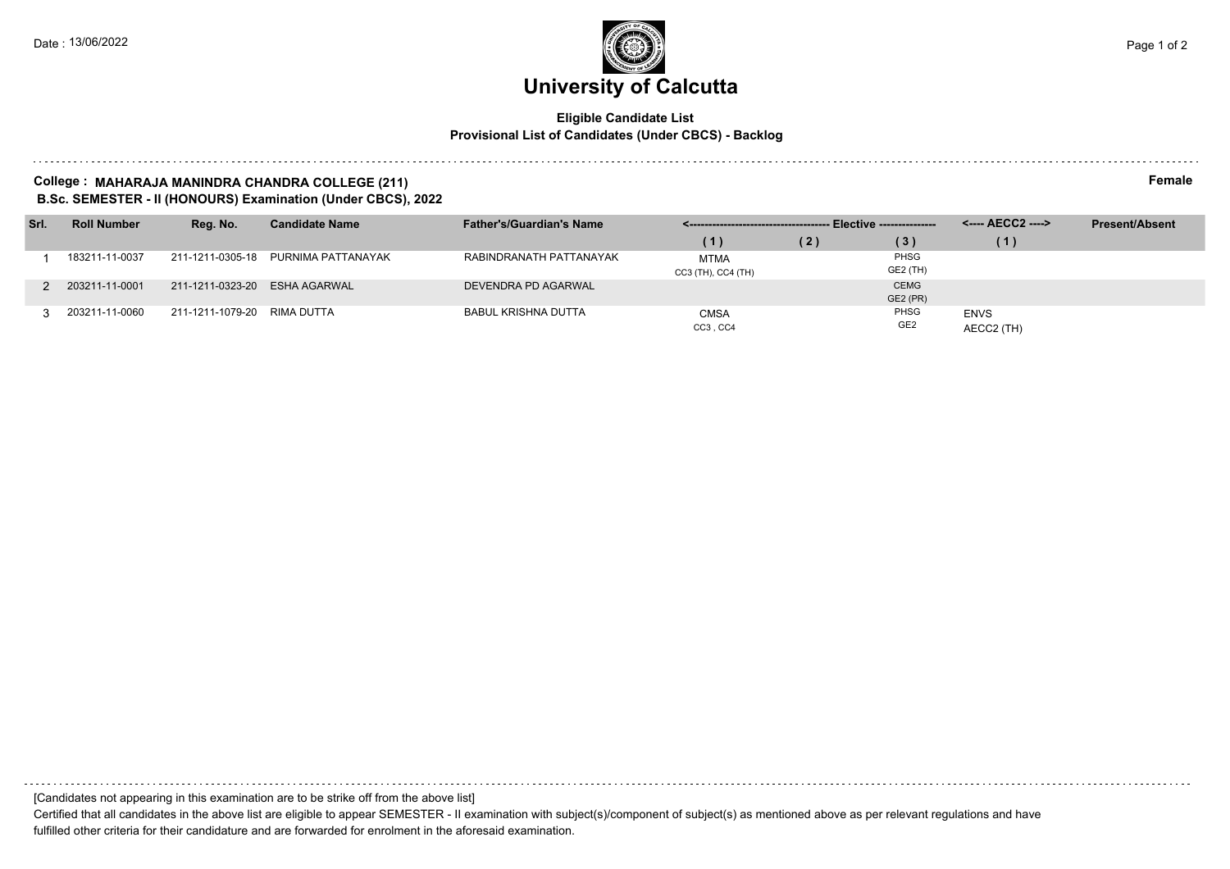#### **Eligible Candidate List Provisional List of Candidates (Under CBCS) - Backlog**

#### **College : MAHARAJA MANINDRA CHANDRA COLLEGE (211) Female B.Sc. SEMESTER - II (HONOURS) Examination (Under CBCS), 2022**

| Srl. | <b>Roll Number</b> | Reg. No.                    | <b>Candidate Name</b> | <b>Father's/Guardian's Name</b> |                                   |     |                                |                           | <b>Present/Absent</b> |
|------|--------------------|-----------------------------|-----------------------|---------------------------------|-----------------------------------|-----|--------------------------------|---------------------------|-----------------------|
|      |                    |                             |                       |                                 | (1)                               | (2) | (3)                            | (1)                       |                       |
|      | 183211-11-0037     | 211-1211-0305-18            | PURNIMA PATTANAYAK    | RABINDRANATH PATTANAYAK         | <b>MTMA</b><br>CC3 (TH), CC4 (TH) |     | PHSG<br>GE2 (TH)               |                           |                       |
|      | 2 203211-11-0001   | 211-1211-0323-20            | ESHA AGARWAL          | DEVENDRA PD AGARWAL             |                                   |     | <b>CEMG</b><br><b>GE2 (PR)</b> |                           |                       |
|      | 3 203211-11-0060   | 211-1211-1079-20 RIMA DUTTA |                       | <b>BABUL KRISHNA DUTTA</b>      | CMSA<br>CC3, CC4                  |     | PHSG<br>GE <sub>2</sub>        | <b>ENVS</b><br>AECC2 (TH) |                       |

[Candidates not appearing in this examination are to be strike off from the above list]

Certified that all candidates in the above list are eligible to appear SEMESTER - II examination with subject(s)/component of subject(s) as mentioned above as per relevant regulations and have fulfilled other criteria for their candidature and are forwarded for enrolment in the aforesaid examination.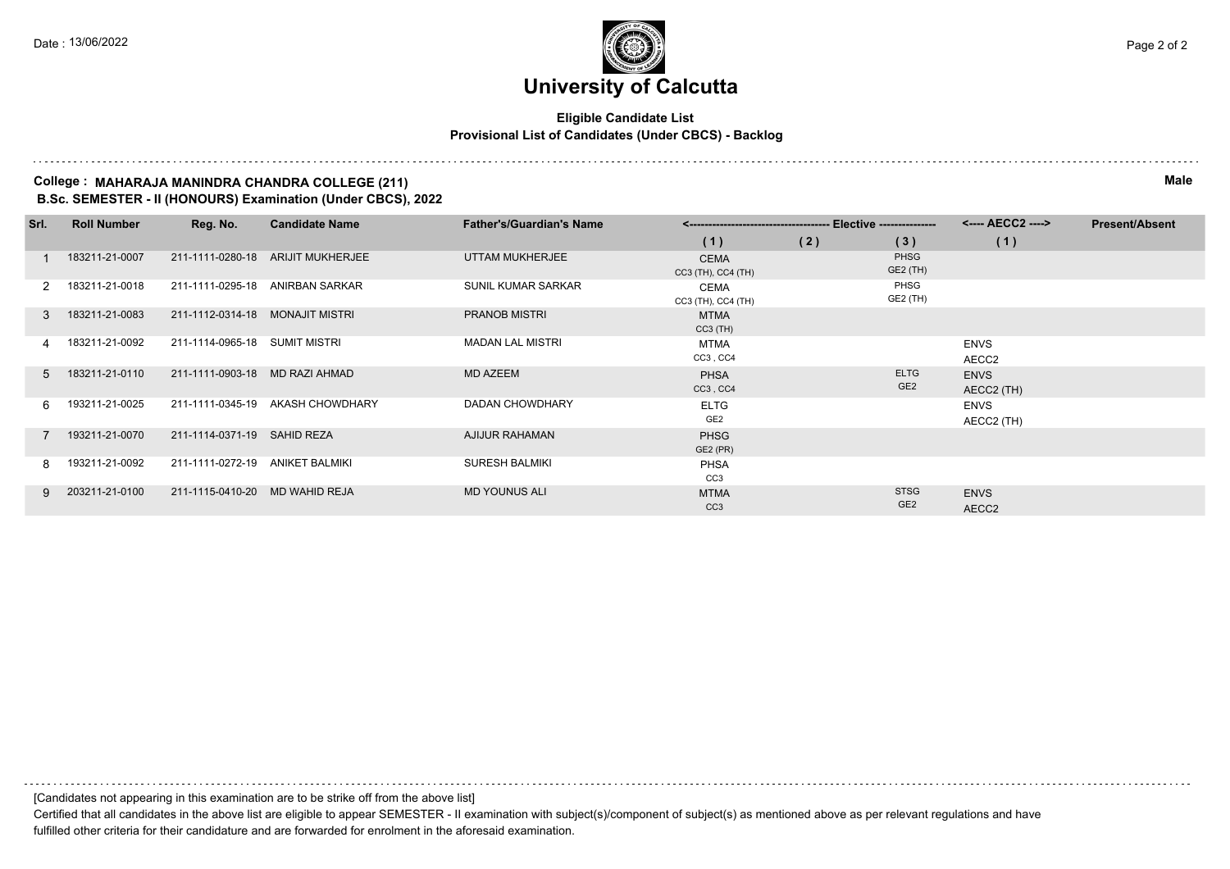#### **Eligible Candidate List Provisional List of Candidates (Under CBCS) - Backlog**

#### **College : MAHARAJA MANINDRA CHANDRA COLLEGE (211) Male B.Sc. SEMESTER - II (HONOURS) Examination (Under CBCS), 2022**

| Srl.           | <b>Roll Number</b> | Reg. No.                        | <b>Candidate Name</b>             | <b>Father's/Guardian's Name</b> |                                   |     |                                | <---- AECC2 ---->         | <b>Present/Absent</b> |
|----------------|--------------------|---------------------------------|-----------------------------------|---------------------------------|-----------------------------------|-----|--------------------------------|---------------------------|-----------------------|
|                |                    |                                 |                                   |                                 | (1)                               | (2) | (3)                            | (1)                       |                       |
|                | 183211-21-0007     |                                 | 211-1111-0280-18 ARIJIT MUKHERJEE | UTTAM MUKHERJEE                 | <b>CEMA</b><br>CC3 (TH), CC4 (TH) |     | <b>PHSG</b><br>GE2 (TH)        |                           |                       |
| 2              | 183211-21-0018     |                                 | 211-1111-0295-18 ANIRBAN SARKAR   | <b>SUNIL KUMAR SARKAR</b>       | CEMA<br>CC3 (TH), CC4 (TH)        |     | PHSG<br>GE2 (TH)               |                           |                       |
| $\mathcal{R}$  | 183211-21-0083     | 211-1112-0314-18 MONAJIT MISTRI |                                   | <b>PRANOB MISTRI</b>            | <b>MTMA</b><br>$CC3$ (TH)         |     |                                |                           |                       |
| 4              | 183211-21-0092     | 211-1114-0965-18 SUMIT MISTRI   |                                   | <b>MADAN LAL MISTRI</b>         | <b>MTMA</b><br>CC3, CC4           |     |                                | <b>ENVS</b><br>AECC2      |                       |
| 5 <sup>5</sup> | 183211-21-0110     | 211-1111-0903-18                | MD RAZI AHMAD                     | <b>MD AZEEM</b>                 | <b>PHSA</b><br>CC3, CC4           |     | <b>ELTG</b><br>GE <sub>2</sub> | <b>ENVS</b><br>AECC2 (TH) |                       |
| 6              | 193211-21-0025     |                                 | 211-1111-0345-19 AKASH CHOWDHARY  | <b>DADAN CHOWDHARY</b>          | <b>ELTG</b><br>GE <sub>2</sub>    |     |                                | <b>ENVS</b><br>AECC2 (TH) |                       |
|                | 193211-21-0070     | 211-1114-0371-19 SAHID REZA     |                                   | <b>AJIJUR RAHAMAN</b>           | <b>PHSG</b><br>GE2 (PR)           |     |                                |                           |                       |
| 8 I            | 193211-21-0092     | 211-1111-0272-19                | ANIKET BALMIKI                    | <b>SURESH BALMIKI</b>           | <b>PHSA</b><br>CC <sub>3</sub>    |     |                                |                           |                       |
| Q              | 203211-21-0100     | 211-1115-0410-20 MD WAHID REJA  |                                   | <b>MD YOUNUS ALI</b>            | <b>MTMA</b><br>CC <sub>3</sub>    |     | <b>STSG</b><br>GE <sub>2</sub> | <b>ENVS</b><br>AECC2      |                       |

[Candidates not appearing in this examination are to be strike off from the above list]

Certified that all candidates in the above list are eligible to appear SEMESTER - II examination with subject(s)/component of subject(s) as mentioned above as per relevant regulations and have fulfilled other criteria for their candidature and are forwarded for enrolment in the aforesaid examination.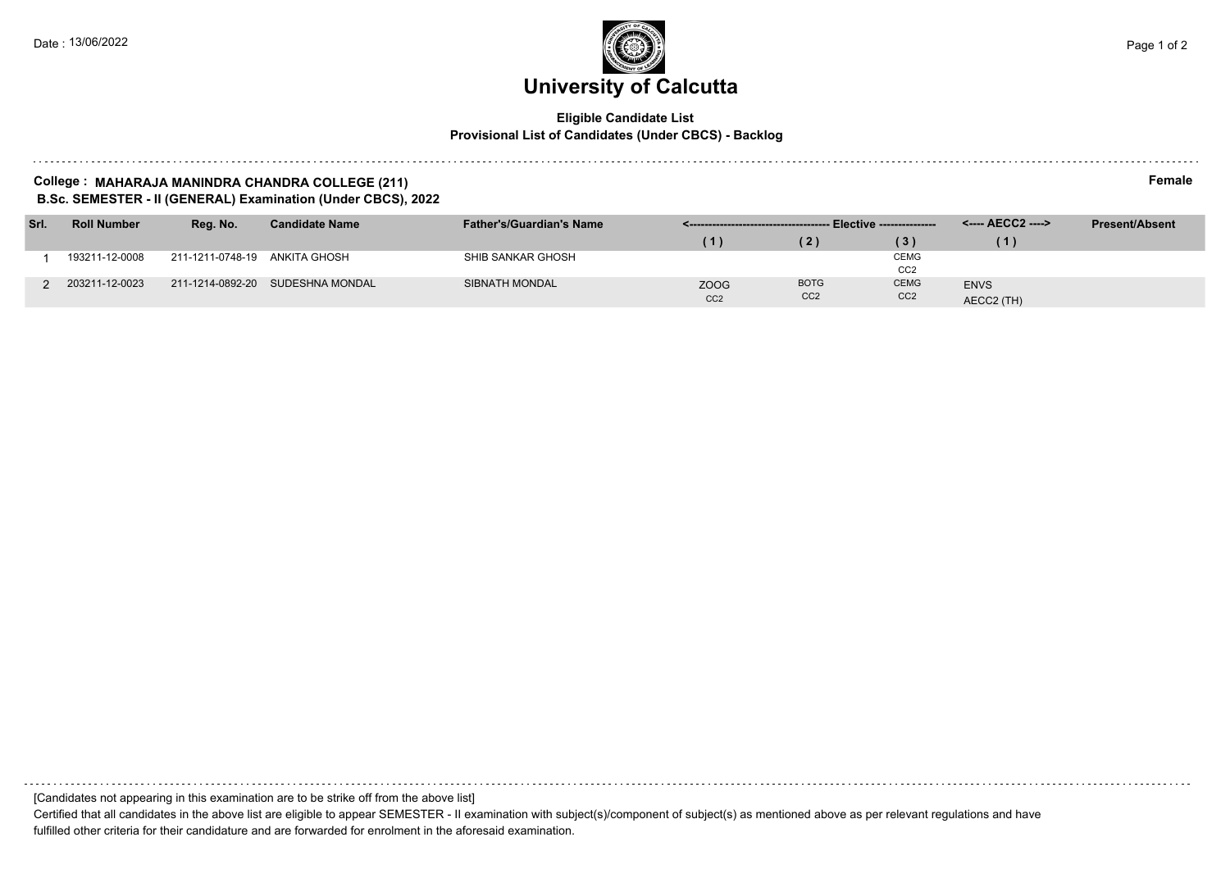#### **Eligible Candidate List Provisional List of Candidates (Under CBCS) - Backlog**

#### **College : MAHARAJA MANINDRA CHANDRA COLLEGE (211) Female B.Sc. SEMESTER - II (GENERAL) Examination (Under CBCS), 2022**

| Srl. | <b>Roll Number</b> | Reg. No.                      | <b>Candidate Name</b>            | <b>Father's/Guardian's Name</b> |                 |                 |                  |             | <b>Present/Absent</b> |
|------|--------------------|-------------------------------|----------------------------------|---------------------------------|-----------------|-----------------|------------------|-------------|-----------------------|
|      |                    |                               |                                  |                                 | (1)             | (2)             | $\left(3\right)$ | G I         |                       |
|      | 193211-12-0008     | 211-1211-0748-19 ANKITA GHOSH |                                  | SHIB SANKAR GHOSH               |                 |                 | <b>CEMG</b>      |             |                       |
|      |                    |                               |                                  |                                 |                 |                 | CC <sub>2</sub>  |             |                       |
|      | 203211-12-0023     |                               | 211-1214-0892-20 SUDESHNA MONDAL | SIBNATH MONDAL                  | <b>ZOOG</b>     | <b>BOTG</b>     | <b>CEMG</b>      | <b>ENVS</b> |                       |
|      |                    |                               |                                  |                                 | CC <sub>2</sub> | CC <sub>2</sub> | CC <sub>2</sub>  | AECC2 (TH)  |                       |

[Candidates not appearing in this examination are to be strike off from the above list]

Certified that all candidates in the above list are eligible to appear SEMESTER - II examination with subject(s)/component of subject(s) as mentioned above as per relevant regulations and have fulfilled other criteria for their candidature and are forwarded for enrolment in the aforesaid examination.